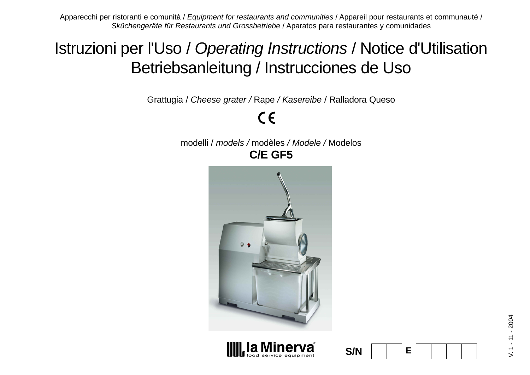Apparecchi per ristoranti e comunità / Equipment for restaurants and communities / Appareil pour restaurants et communauté / Sküchengeräte für Restaurants und Grossbetriebe / Aparatos para restaurantes y comunidades

# Istruzioni per l'Uso / Operating Instructions / Notice d'Utilisation Betriebsanleitung / Instrucciones de Uso

Grattugia / Cheese grater / Rape / Kasereibe / Ralladora Queso

 $C \in$ 

modelli / models / modèles / Modele / Modelos **C/E GF5**





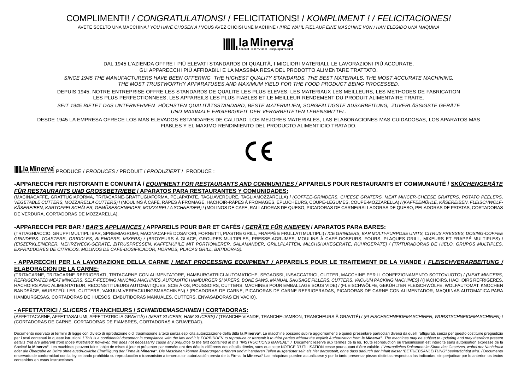COMPLIMENTI! / CONGRATULATIONS! / FELICITATIONS! / KOMPLIMENT ! / FELICITACIONES!

AVETE SCELTO UNA MACCHINA / YOU HAVE CHOSEN A / VOUS AVEZ CHOISI UNE MACHINE / IHRE WAHL FIEL AUF EINE MASCHINE VON / HAN ELEGIDO UNA MAQUINA



DAL 1945 L'AZIENDA OFFRE I PIÙ ELEVATI STANDARDS DI QUALITÀ, I MIGLIORI MATERIALI, LE LAVORAZIONI PIÙ ACCURATE, GLI APPARECCHI PIÙ AFFIDABILI E LA MASSIMA RESA DEL PRODOTTO ALIMENTARE TRATTATO.

SINCE 1945 THE MANUFACTURERS HAVE BEEN OFFERING THE HIGHEST QUALITY STANDARDS, THE BEST MATERIALS, THE MOST ACCURATE MACHINING, THE MOST TRUSTWORTHY APPARATUSES AND MAXIMUM YIELD FOR THE FOOD PRODUCT BEING PROCESSED.

DEPUIS 1945, NOTRE ENTREPRISE OFFRE LES STANDARDS DE QUALITE LES PLUS ELEVES, LES MATERIAUX LES MEILLEURS, LES METHODES DE FABRICATION LES PLUS PERFECTIONNEES, LES APPAREILS LES PLUS FIABLES ET LE MEILLEUR RENDEMENT DU PRODUIT ALIMENTAIRE TRAITE.

SEIT 1945 BIETET DAS UNTERNEHMEN HÖCHSTEN QUALITÄTSSTANDARD, BESTE MATERIALIEN, SORGFÄLTIGSTE AUSARBEITUNG, ZUVERLÄSSIGSTE GERÄTE UND MAXIMALE ERGIEBIGKEIT DER VERARBEITETEN LEBENSMITTEL.

DESDE 1945 LA EMPRESA OFRECE LOS MAS ELEVADOS ESTANDARES DE CALIDAD, LOS MEJORES MATERIALES, LAS ELABORACIONES MAS CUIDADOSAS, LOS APARATOS MAS FIABLES Y EL MAXIMO RENDIMIENTO DEL PRODUCTO ALIMENTICIO TRATADO.

**la Minerva**<br>Iod service equipment PRODUCE / *PRODUCES* / PRODUIT / *PRODUZIERT* / PRODUCE :

#### **-APPARECCHI PER RISTORANTI E COMUNITÀ / EQUIPMENT FOR RESTAURANTS AND COMMUNITIES / APPAREILS POUR RESTAURANTS ET COMMUNAUTÉ / SKÜCHENGERÄTE FÜR RESTAURANTS UND GROSSBETRIEBE / APARATOS PARA RESTAURANTES Y COMUNIDADES:**

(MACINACAFFÈ, GRATTUGIAFORMA, TRITACARNE-GRATTUGIAFORMA, PELAPATATE, TAGLIAVERDURE, TAGLIAMOZZARELLA) / (COFFEE-GRINDERS, CHEESE GRATERS, MEAT MINCER-CHEESE GRATERS, POTATO PEELERS, VEGETABLE CUTTERS, MOZZARELLA CUTTERS) / (MOULINS À CAFÉ, RÂPES À FROMAGE, HACHOIR-RÂPES À FROMAGES, ÉPLUCHEURS, COUPE-LEGUMES, COUPE-MOZZARELLA) / (KAFFEEMÜHLE, KÄSEREIBEN, FLEISCHWOLF-KÄSEREIBEN, KARTOFFELSCHÄLER, GEMÜSESCHNEIDER, MOZZARELLA SCHNEIDER) / (MOLINOS DE CAFE, RALLADORAS DE QUESO, PICADORAS DE CARNE/RALLADORAS DE QUESO, PELADORAS DE PATATAS, CORTADORAS DE VERDURA, CORTADORAS DE MOZZARELLA).

#### **-APPARECCHI PER BAR / BAR'S APPLIANCES / APPAREILS POUR BAR ET CAFÉS / GERÄTE FÜR KNEIPEN / APARATOS PARA BARES:**

(TRITAGHIACCIO, GRUPPI MULTIPLI BAR, SPREMIAGRUMI, MACINACAFFÈ DOSATORI, FORNETTI, PIASTRE GRILL, FRAPPÈ E FRULLATI MULTIPLI) / ICE GRINDERS, BAR MULTI-PURPOSE UNITS, CITRUS PRESSES, DOSING-COFFEE GRINDERS. TOASTERS, GRIDDLES, BLENDERS, MIXERS) / (BROYEURS À GLACE, GROUPES MULTIPLES, PRESSE-AGRUMES, MOULINS À CAFÉ-DOSEURS, FOURS, PLAQUES GRILL, MIXEURS ET FRAPPÉ MULTIPLES) / (EISZERKLEINERER, MEHRZWECK-GERÄTE, ZITRUSPRESSEN, KAFFEMÜHLE MIT PORTIONIERER, SALAMANDER, GRILLPLATTEN, MILCHSHAKEGERÄTE, RÜHRGERÄTE) / (TRITURADORAS DE HIELO, GRUPOS MULTIPLES, EXPRIMIDORES DE CITRICOS, MOLINOS DE CAFE-DOSIFICADOR, HORNOS, PLACAS GRILL, BATIDORAS).

#### **- APPARECCHI PER LA LAVORAZIONE DELLA CARNE / MEAT PROCESSING EQUIPMENT / APPAREILS POUR LE TRAITEMENT DE LA VIANDE / FLEISCHVERARBEITUNG / ELABORACION DE LA CARNE:**

(TRITACARNE, TRITACARNE REFRIGERATI, TRITACARNE CON ALIMENTATORE, HAMBURGATRICI AUTOMATICHE, SEGAOSSI, INSACCATRICI, CUTTER, MACCHINE PER IL CONFEZIONAMENTO SOTTOVUOTO) / (MEAT MINCERS, REFRIGERATED MEAT MINCERS, SELF-FEEDING MINCING MACHINES, AUTOMATIC HAMBURGER SHAPERS, BONE SAWS, MANUAL SAUSAGE FILLERS, CUTTERS, VACUUM PACKING MACHINES) / (HACHOIRS, HACHOIRS RÉFRIGÉRÉS, HACHOIRS AVEC ALIMENTATEUR, RECONSTITUEURS AUTOMATIQUES, SCIE À OS, POUSSOIRS, CUTTERS, MACHINES POUR EMBALLAGE SOUS VIDE) / (FLEISCHWÖLFE, GEKÜHLTER FLEISCHWÖLFE, WOLFAUTOMAT, KNOCHEN BANDSÄGE, WURSTFÜLLER, CUTTERS, VAKUUM-VERPACKUNGSMASCHINEN) / (PICADORAS DE CARNE, PICADORAS DE CARNE REFRIGERADAS, PICADORAS DE CARNE CON ALIMENTADOR, MAQUINAS AUTOMATICA PARA HAMBURGESAS, CORTADORAS DE HUESOS, EMBUTIDORAS MANUALES, CUTTERS, ENVASADORAS EN VACIO).

#### **- AFFETTATRICI / SLICERS / TRANCHEURS / SCHNEIDEMASCHINEN / CORTADORAS:**

(AFFETTACARNE, AFFETTASALUMI, AFFETTATRICI A GRAVITÀ) / (MEAT SLICERS, HAM SLICERS) / (TRANCHE-VIANDE, TRANCHE-JAMBON, TRANCHEURS À GRAVITÉ) / (FLEISCHSCHNEIDEMASCHINEN, WURSTSCHNEIDEMASCHINEN) / (CORTADORAS DE CARNE, CORTADORAS DE FIAMBRES, CORTADORAS A GRAVEDAD).

Documento riservato ai termini di legge con divieto di riproduzione o di trasmissione a terzi senza esplicita autorizzazione della ditta la Minerva®. Le macchine possono subire aggiornamenti e quindi presentare particolari per i testi contenuti in queste istruzioni. / This is a confidential document in compliance with the law and it is FORBIDDEN to reproduce or transmit it to third parties without the explicit Authorization from la Minerva®. details that are different from those illustrated; however, this does not necessarily cause any prejudice to the text contained in this "INSTRUCTIONS MANUAL". / Document réservé aux termes de la loi. Toute reproduction ou Société la Minerva®. Les machines peuvent faire l'objet de mises à jour et présenter par conséquent des détails différents des détails décrits, sans que cette NOTICE D'UTILISATION cesse pour autant d'être valable. / Vertra oder die Übergabe an Dritte ohne ausdrückliche Einwilligung der Firma la Minerva®. Die Maschinen können Änderungen erfahren und mit anderen Teilen ausgerüstet sein als hier dargestellt, ohne dass dadurch der Inhalt dieser reservado de conformidad con la ley, estando prohibida su reproducción o transmisión a terceros sin autorización previa de la Firma la Minerva® Las máquinas pueden actualizarse y por lo tanto presentar piezas distintas res contenidos en estas instrucciones.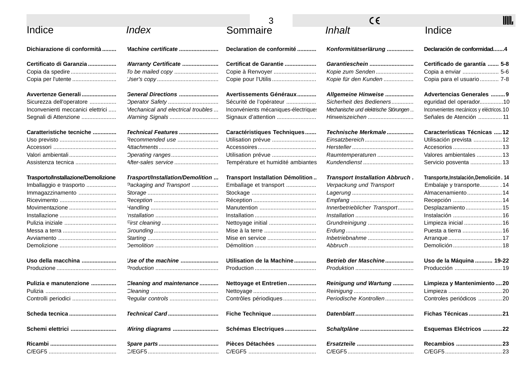|                                     |                                    |                                      | CE                                    | Ш                                        |
|-------------------------------------|------------------------------------|--------------------------------------|---------------------------------------|------------------------------------------|
| Indice                              | Index                              | Sommaire                             | Inhalt                                | Indice                                   |
| Dichiarazione di conformità         | Machine certificate                | Declaration de conformité            | Konformitätserlärung                  | Declaración de conformidad4              |
| Certificato di Garanzia             | <b>Warranty Certificate </b>       | Certificat de Garantie               | Garantieschein                        | Certificado de garantía  5-8             |
| Copia da spedire                    |                                    | Copie à Renvoyer                     | Kopie zum Senden                      | Copia a enviar  5-6                      |
| Copia per l'utente                  |                                    | Copie pour l'Utilis                  | Kopie für den Kunden                  | Copia para el usuario  7-8               |
| Avvertenze Generali                 | General Directions                 | Avertissements Généraux              | Allgemeine Hinweise                   | Advertencias Generales  9                |
| Sicurezza dell'operatore            | Operator Safety                    | Sécurité de l'opérateur              | Sicherheit des Bedieners              | eguridad del operador10                  |
| Inconvenienti meccanici elettrici   | Mechanical and electrical troubles | Inconvénients mécaniques-électriques | Mechanische und elektrische Störungen | Inconvenientes mecánicos y eléctricos.10 |
| Segnali di Attenzione               | Warning Signals                    |                                      | Hinweiszeichen                        | Señales de Atención  11                  |
| Caratteristiche tecniche            | Technical Features                 | Caractéristiques Techniques          | Technische Merkmale                   | Características Técnicas 12              |
|                                     | Recommended use                    | Utilisation prévue                   | Einsatzbereich                        | Utilisación prevista  12                 |
|                                     |                                    |                                      |                                       |                                          |
|                                     | Operating ranges                   |                                      | Raumtemperaturen                      | Valores ambientales  13                  |
| Assistenza tecnica                  | After-sales service                | Température et humidité ambiantes    | Kundendienst                          | Servicio posventa  13                    |
| Trasporto/Installazione/Demolizione | Trasport/Installation/Demolition   | Transport Installation Démolition    | <b>Transport Installation Abbruch</b> | Transporte, Instalación, Demolición. 14  |
| Imballaggio e trasporto             | Packaging and Transport            | Emballage et transport               | Verpackung und Transport              | Embalaje y transporte . 14               |
| Immagazzinamento                    |                                    |                                      |                                       | Almacenamiento 14                        |
|                                     |                                    |                                      |                                       | Recepción  14                            |
|                                     |                                    |                                      | Innerbetrieblicher Transport          | Desplazamiento 15                        |
|                                     |                                    |                                      |                                       |                                          |
| Pulizia iniziale                    |                                    | Nettoyage initial                    | Grundreinigung                        | Limpieza inicial  16                     |
|                                     |                                    |                                      |                                       |                                          |
|                                     |                                    | Mise en service                      | Inbetriebnahme                        |                                          |
|                                     |                                    |                                      |                                       |                                          |
| Uso della macchina                  | Use of the machine                 | Utilisation de la Machine            | Betrieb der Maschine                  | <b>Uso de la Máquina  19-22</b>          |
|                                     |                                    |                                      |                                       |                                          |
| Pulizia e manutenzione              | Cleaning and maintenance           | Nettoyage et Entretien               | Reinigung und Wartung                 | Limpieza y Mantenimiento  20             |
|                                     |                                    |                                      |                                       |                                          |
| Controlli periodici                 | Regular controls                   | Contrôles périodiques                | Periodische Kontrollen                | Controles periódicos 20                  |
| Scheda tecnica                      | Technical Card                     | Fiche Technique                      |                                       | Fichas Técnicas 21                       |
| Schemi elettrici                    | Wiring diagrams                    | Schémas Electriques                  | Schaltpläne                           | Esquemas Eléctricos  22                  |
|                                     |                                    | Pièces Détachées                     |                                       | Recambios 23                             |
|                                     |                                    |                                      |                                       |                                          |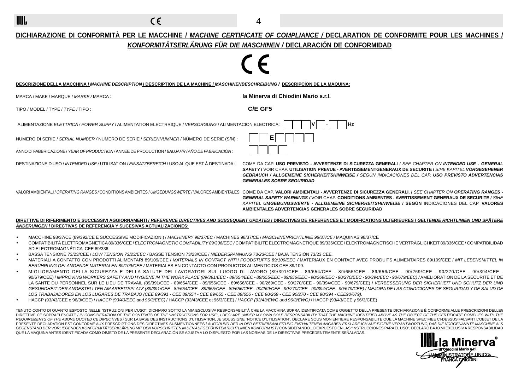$\epsilon$ 

- IIIII.

4

### **DICHIARAZIONE DI CONFORMITÀ PER LE MACCHINE / MACHINE CERTIFICATE OF COMPLIANCE / DECLARATION DE CONFORMITE POUR LES MACHINES / KONFORMITÄTSERLÄRUNG FÜR DIE MASCHINEN / DECLARACIÓN DE CONFORMIDAD**

| DESCRIZIONE DELLA MACCHINA <i>I MACHINE DESCRIPTION I</i> DESCRIPTION DE LA MACHINE <i>I MASCHINENBESCHREIBUNG /</i> DESCRIPCÍON DE LA MÁQUINA: |                                                                                                                                                                                                                                                                                                                                                                                                                                                                                                              |
|-------------------------------------------------------------------------------------------------------------------------------------------------|--------------------------------------------------------------------------------------------------------------------------------------------------------------------------------------------------------------------------------------------------------------------------------------------------------------------------------------------------------------------------------------------------------------------------------------------------------------------------------------------------------------|
| MARCA / MAKE / MARQUE / <i>MARKE</i> / MARCA :                                                                                                  | la Minerva di Chiodini Mario s.r.l.                                                                                                                                                                                                                                                                                                                                                                                                                                                                          |
| TIPO / MODEL / TYPE / TYPE / TIPO :                                                                                                             | C/E GF5                                                                                                                                                                                                                                                                                                                                                                                                                                                                                                      |
| ALIMENTAZIONE ELETTRICA / POWER SUPPY / ALIMENTATION ELECTRRIQUE / VERSORGUNG / ALIMENTACION ELECTRICA                                          | Hz                                                                                                                                                                                                                                                                                                                                                                                                                                                                                                           |
| : NUMERO DI SERIE / <i>SERIAL NUMBER</i> / NUMERO DE SERIE / <i>SERIENNUMMER</i> / NÚMERO DE SERIE (S/N)                                        | Е                                                                                                                                                                                                                                                                                                                                                                                                                                                                                                            |
| ANNO DI FABBRICAZIONE / YEAR OF PRODUCTION / ANNEE DE PRODUCTION / BAUJAHR / AÑO DE FABRICACIÓN :                                               |                                                                                                                                                                                                                                                                                                                                                                                                                                                                                                              |
| DESTINAZIONE D'USO / <i>INTENDED USE</i> /UTILISATION / <i>EINSATZBEREICH</i> / USO AL QUE EST Á DESTINADA :                                    | COME DA CAP. USO PREVISTO - AVVERTENZE DI SICUREZZA GENERALI / SEE CHAPTER ON INTENDED USE - GENERAL<br>SAFETY I VOIR CHAP. UTILISATION PREVUE - AVERTISSEMENTGENERAUX DE SECURITE / SIHE KAPITEL VORGESEHENER<br><b>GEBRAUCH / ALLGEMEINE SICHERHEITSHINWEISE /</b> SEGÚN INDICACIONES DEL CAP. USO PREVISTO ADVERTENCIAS<br><b>GENERALES SOBRE SEGURIDAD</b>                                                                                                                                               |
|                                                                                                                                                 | VALORIAMBIENTALI <i>I OPERATING RANGES/CO</i> NDITIONSAMBIENTES/ <i>UMGEBUNGSWERTE/</i> VALORESAMBIENTALES: COME DA CAP. <b>VALORI AMBIENTALI - AVVERTENZE DI SICUREZZA GENERALI. <i>I SEE CHAPTER ON <b>OPERATING RANGES</b></i></b><br><b>GENERAL SAFETY WARNINGS / VOIR CHAP, CONDITIONS AMBIENTES - AVERTISSEMENT GENERAUX DE SECURITE / SIHE</b><br>KAPITEL UMGEBUNGSWERTE - ALLGEMEINE SICHERHEITSHINWEISE / SEGUN INDICACIONES DEL CAP. VALORES<br>AMBIENTALES ADVERTENCIAS GENERALES SOBRE SEGURIDAD |

#### **DIRETTIVE DI RIFERIMENTO E SUCCESSIVI AGGIORNAMENTI / REFERENCE DIRECTIVES AND SUBSEQUENT UPDATES / DIRECTIVES DE REFERENCES ET MODIFICATIONS ULTERIEURES / GELTENDE RICHTLINIEN UND SPÄTERE ÄNDERUNGEN / DIRECTIVAS DE REFERENCIA Y SUCESIVAS ACTUALIZACIONES:**

- MACCHINE 98/37/CE (89/392/CE E SUCCESSIVE MODIFICAZIONI) / MACHINERY 98/37/EC / MACHINES 98/37/CE / MASCHINENRICHTLINIE 98/37/CE / MÁQUINAS 98/37/CE
- COMPATIBILITÀ ELETTROMAGNETICA 89/336/CEE / ELECTROMAGNETIC COMPABILITY 89/336/EEC / COMPATIBILITE ELECTROMAGNETIQUE 89/336/CEE / ELEKTROMAGNETISCHE VERTRÄGLICHKEIT 89/336/CEE / COMPATIBILIDAD AD ELECTROMAGNÉTICA CEE 89/336.
- BASSA TENSIONE 73/23/CEE / LOW TENSION 73/23/EEC / BASSE TENSION 73/23/CEE / NIEDERSPANNUNG 73/23/CEE / BAJA TENSIÓN 73/23 CEE.
- MATERIALI A CONTATTO CON PRODOTTI ALIMENTARI 89/109/CEE / MATERIALS IN CONTACT WITH FOODSTUFFS 89/109/EEC / MATERIAUX EN CONTACT AVEC PRODUITS ALIMENTAIRES 89/109/CEE / MIT LEBENSMITTEL IN BERÜHRUNG GELANGENDE MATERIALEN 89/109/CEE / MATERIALES EN CONTACTO CON PRODUCTOS ALIMENTICIOS CEE 89/109.
- MIGLIORAMENTO DELLA SICUREZZA E DELLA SALUTE DEI LAVORATORI SUL LUOGO DI LAVORO (89/391/CEE 89/654/CEE 89/655/CEE 89/656/CEE 90/269/CEE 90/270/CEE 90/394/CEE 90/679/CEE) / IMPROVING WORKERS SAFETYAND HYGIENE IN THE WORK PLACE (89/391/EEC - 89/654/EEC - 89/655/EEC - 89/656/EEC - 90/269/EEC - 90/270/EEC - 90/394/EEC - 90/679/EEC) / AMELIORATION DE LA SECURITE ET DE LA SANTE DU PERSONNEL SUR LE LIEU DE TRAVAIL (89/391/CEE - 89/654/CEE - 89/655/CEE - 89/656/CEE - 90/269/CEE - 90/270/CEE - 90/394/CEE - 90/679/CEE) / VERBESSERUNG DER SICHERHEIT UND SCHUTZ DER UND GESUNDHEIT DER ANGESTELLTEN AM ARBEITSPLATZ (89/391/CEE - 89/654/CEE - 89/655/CEE - 89/656/CEE - 90/269/CEE - 90/270/CEE - 90/394/CEE - 90/679/CEE) / MEJORA DE LAS CONDICIONES DE SEGURIDAD Y DE SALUD DE LOS TRABAJADORES EN LOS LUGARES DE TRABAJO (CEE 89/391 - CEE 89/654 - CEE 89/655 - CEE 89/656 - CEE 90/269 - CEE 90/270 - CEE 90/394 - CEE90/679).
- HACCP (93/43/CEE e 96/3/CEE) / HACCP (93/43/EEC and 96/3/EEC) / HACCP (93/43/CEE et 96/3/CEE) / HACCP (93/43/EWG und 96/3/EWG) / HACCP (93/43/CEE y 96/3/CEE)

TENUTO CONTO DI QUANTO ESPOSTO NELLE "ISTRUZIONI PER L'USO", DICHIARO SOTTO LA MIA ESCLUSIVA RESPONSABILITÀ CHE LA MACCHINA SOPRA IDENTIFICATA COME OGGETTO DELLA PRESENTE DICHIARAZIONE È CONFORME ALLE PRESCRIZIONI DELLE§ DIRETTIVE CE SOPRAELENCATE / IN CONSIDERATION OF THE CONTENTS OF THE "INSTRUCTIONS FOR USE", I DECLARE UNDER MY OWN SOLE RESPONSABILITY THAT THE MACHINE IDENTIFIED ABOVE AS THE OBJECT OF THE CERTIFICATE COMPLIES WITH THE REQUIREMENTS OF THE ABOVE QUOTED CE DIRECTIVES/SUR LA BASE DES INSTRUCTIONS D'UTILISATION, JE SOUSSIGNE "NOTICE D'UTILISATION". DECLARE SOUS MON ENTIERE RESPONSABILITE QUE LA MACHINE SPECIFIEE CI-DESSUS FALSANT L'OBJET DE PRESENTE DECLARATION EST CONFORME AUX PRESCRIPTIONS DES DIRECTIVES SUSMENTIONNEES / AUFGRUND DER IN DER BETRIEBSANLEITUNG ENTHALTENEN ANGABEN ERKLÄRE ICH AUF EIGENE VERANTWORTUNG, DAß DIE VORGENANNTE MASCHINE ALS GEGENSTAND DER VORLIEGENDEN KONFORMITÄTSERKLÄRUNG MIT DEN VORSCHRIFTEN IN DEN AUFGEFÜHRTEN RICHTLINIEN KONFORM IST / CONSIDERANDO LO EXPUESTO EN LAS "INSTRUCCIONES PARA EL USO", DECLARO BAJO MI EXCLUSIV A RESPONSABILIDAD QUE LA MÁQUINAANTES IDENTIFICADA COMO OBJETO DE LA PRESENTE DECLARACIÓN SE AJUSTA A LO DISPUESTO POR LAS NORMAS DE LA DIRECTIVAS PRECEDENTEMENTE SEÑALADAS.

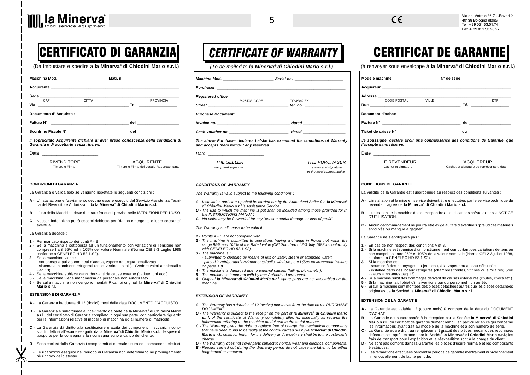| <b>Acquirente</b> Acquirente Acquirente Acquirente Acquirente Acquirente Acquirente Acquirente Acquirente Acquirente Acquirente Acquirente Acquirente Acquirente Acquirente Acquirente Acquirente Acquirente Acquirente Acquirente |                                                                                                                                                                                                                                                                                                                                                                                                                                                                                                                                                                                                                                   |
|------------------------------------------------------------------------------------------------------------------------------------------------------------------------------------------------------------------------------------|-----------------------------------------------------------------------------------------------------------------------------------------------------------------------------------------------------------------------------------------------------------------------------------------------------------------------------------------------------------------------------------------------------------------------------------------------------------------------------------------------------------------------------------------------------------------------------------------------------------------------------------|
| Sede $_{-}$<br>$\overline{\overline{\text{CITTA}}}$<br>CAP                                                                                                                                                                         | PROVINCIA                                                                                                                                                                                                                                                                                                                                                                                                                                                                                                                                                                                                                         |
|                                                                                                                                                                                                                                    |                                                                                                                                                                                                                                                                                                                                                                                                                                                                                                                                                                                                                                   |
| Documento d'Acquisto:                                                                                                                                                                                                              |                                                                                                                                                                                                                                                                                                                                                                                                                                                                                                                                                                                                                                   |
|                                                                                                                                                                                                                                    | Fattura N° en el control de la control de la control de la control de la control de la control de la control de l                                                                                                                                                                                                                                                                                                                                                                                                                                                                                                                 |
| Scontrino Fiscale N°                                                                                                                                                                                                               | del anno 1999 anno 1999 anno 1999 anno 1999 anno 1999 anno 1999 anno 1999 anno 1999 anno 1999 anno 1999 anno 1                                                                                                                                                                                                                                                                                                                                                                                                                                                                                                                    |
| Garanzia e di accettarle senza riserve.                                                                                                                                                                                            | Il sopracitato Acquirente dichiara di aver preso conoscenza della condizioni di                                                                                                                                                                                                                                                                                                                                                                                                                                                                                                                                                   |
| Data ______                                                                                                                                                                                                                        |                                                                                                                                                                                                                                                                                                                                                                                                                                                                                                                                                                                                                                   |
| <b>RIVENDITORE</b><br>Timbro e Firma                                                                                                                                                                                               | <b>ACQUIRENTE</b><br>Timbro e Firma del Legale Rappresentante                                                                                                                                                                                                                                                                                                                                                                                                                                                                                                                                                                     |
| <b>CONDIZIONI DI GARANZIA</b>                                                                                                                                                                                                      |                                                                                                                                                                                                                                                                                                                                                                                                                                                                                                                                                                                                                                   |
|                                                                                                                                                                                                                                    | La Garanzia è valida solo se vengono rispettate le seguenti condizioni :                                                                                                                                                                                                                                                                                                                                                                                                                                                                                                                                                          |
|                                                                                                                                                                                                                                    | A - L'installazione e l'avviamento devono essere esequiti dal Servizio Assistenza Tecni-<br>ca del Rivenditore Autorizzato da la Minerva® di Chiodini Mario s.r.l.                                                                                                                                                                                                                                                                                                                                                                                                                                                                |
|                                                                                                                                                                                                                                    | B - L'uso della Macchina deve rientrare fra quelli previsti nelle ISTRUZIONI PER L'USO.                                                                                                                                                                                                                                                                                                                                                                                                                                                                                                                                           |
| eventuali.                                                                                                                                                                                                                         | C - Nessun indennizzo potrà esserci richiesto per "danno emergente e lucro cessante"                                                                                                                                                                                                                                                                                                                                                                                                                                                                                                                                              |
| La Garanzia decade :                                                                                                                                                                                                               |                                                                                                                                                                                                                                                                                                                                                                                                                                                                                                                                                                                                                                   |
| 1 - Per mancato rispetto dei punti A - B.<br>conforme a CENELEC HD 53.1.S2).<br>3 - Se la macchina viene :<br>Pag. 13).<br>5 - Se la macchina viene manomessa da personale non Autorizzato.<br>Mario s.r.l.                        | 2 - Se la macchina è sottoposta ad un funzionamento con variazioni di Tensione non<br>comprese fra il 95% ed il 105% del valore Nominale (Norma CEI 2-3 Luglio 1988<br>- sottoposta a pulizia con getti d'acqua, vapore od acqua nebulizzata<br>- sistemata in ambienti refrigerati (celle, vetrine e simili) - (Vedere valori ambientali a<br>4 - Se la macchina subisce danni derivanti da cause esterne (cadute, urti ecc.).<br>6 - Se sulla macchina non vengono montati Ricambi originali la Minerva® di Chiodini                                                                                                            |
| <b>ESTENSIONE DI GARANZIA</b>                                                                                                                                                                                                      |                                                                                                                                                                                                                                                                                                                                                                                                                                                                                                                                                                                                                                   |
|                                                                                                                                                                                                                                    | A - La Garanzia ha durata di 12 (dodici) mesi dalla data DOCUMENTO D'ACQUISTO.<br>B - La Garanzia è subordinata al ricevimento da parte de la Minerva <sup>®</sup> di Chiodini Mario<br>s.r.l., del certificato di Garanzia compilato in ogni sua parte, con particolare riguardo<br>per le informazioni relative al modello di macchina ed al numero di matricola.<br>C - La Garanzia dà diritto alla sostituzione gratuita dei componenti meccanici ricono-<br>sciuti difettosi all'esame eseguito da la Minerva® di Chiodini Mario s.r.l.; le spese di<br>trasporto per la consegna e la riconsegna sono a carico del cliente. |
|                                                                                                                                                                                                                                    | D - Sono esclusi dalla Garanzia i componenti di normale usura ed i componenti elettrici.                                                                                                                                                                                                                                                                                                                                                                                                                                                                                                                                          |
|                                                                                                                                                                                                                                    | E - Le riparazioni eseguite nel periodo di Garanzia non determinano nè prolungamento                                                                                                                                                                                                                                                                                                                                                                                                                                                                                                                                              |

|                                                                                                                                                                                                                                               | Machine Mod. _________________________________Serial no. _______________________       |
|-----------------------------------------------------------------------------------------------------------------------------------------------------------------------------------------------------------------------------------------------|----------------------------------------------------------------------------------------|
| <b>Purchaser Contract Contract Contract Contract Contract Contract Contract Contract Contract Contract Contract Contract Contract Contract Contract Contract Contract Contract Contract Contract Contract Contract Contract Co</b>            |                                                                                        |
| Registered office                                                                                                                                                                                                                             |                                                                                        |
| POSTAL CODE                                                                                                                                                                                                                                   | <b>TOWN/CITY</b>                                                                       |
|                                                                                                                                                                                                                                               |                                                                                        |
| <b>Purchase Document:</b>                                                                                                                                                                                                                     |                                                                                        |
|                                                                                                                                                                                                                                               |                                                                                        |
|                                                                                                                                                                                                                                               |                                                                                        |
| The above Purchaser declares he/she has examined the conditions of Warranty<br>and accepts them without any reserves.                                                                                                                         |                                                                                        |
| Date ___________                                                                                                                                                                                                                              |                                                                                        |
| <b>THE SELLER</b>                                                                                                                                                                                                                             | <b>THE PURCHASER</b>                                                                   |
| stamp and signature                                                                                                                                                                                                                           | stamp and signature<br>of the legal representative                                     |
| <b>CONDITIONS OF WARRANTY</b><br>The Warranty is valid subject to the following conditions :<br>A - Installation and start-up shall be carried out by the Authorized Seller for la Minerva®<br>di Chiodini Mario s.r.l.'s Assistance Service. |                                                                                        |
| <b>B</b> - The use to which the machine is put shall be included among those provided for in<br>the INSTRUCTIONS MANUAL.<br>$C$ - No claim may be forwarded for any "consequential damage or loss of profit".                                 |                                                                                        |
| The Warranty shall cease to be valid if:                                                                                                                                                                                                      |                                                                                        |
| 1 - Points A - B are not complied with<br>2 - The machine is submitted to operations having a change in Power not within the<br>with CENELEC HD 53.1.S2).<br>3 - The machine is :                                                             | range 95% and 105% of the Rated value (CEI Standard of 2-3 July 1988 in conformity     |
|                                                                                                                                                                                                                                               |                                                                                        |
| - submitted to cleaning by means of jets of water, steam or atomized water;<br>on page 13).                                                                                                                                                   |                                                                                        |
| 4 - The machine is damaged due to external causes (falling, blows, etc.).                                                                                                                                                                     | - placed in refrigerated environments (cells, windows, etc.) (See environmental values |
| 5 - The machine is tampered with by non-Authorized personnel.<br>6 - Original la Minerva® di Chiodini Mario s.r.l. spare parts are not assembled on the<br>machine.                                                                           |                                                                                        |
| <b>EXTENSION OF WARRANTY</b>                                                                                                                                                                                                                  |                                                                                        |
| A - The Warranty has a duration of 12 (twelve) months as from the date on the PURCHASE<br><b>DOCUMENT.</b>                                                                                                                                    |                                                                                        |

#### that have been found to be faulty at the control carried out by **la Minerva® di Chiodini Mario s.r.l.**; costs for freight for the delivery and re-delivery shall be to the custo The Warranty does not cover parts subject to normal wear and electrical compol

Repairs carried out during the Warranty period do not cause the latter to be either engthened or renewed.

# $|{\sf CERTIFICATO}$  DI GARANZIA $|{\sf CERTIFICATE}$  of warranty  $|{\sf CERTIFICAT DE}$  GARANTIE

(Da imbustare e spedire a la Minerva® di Chiodini Mario s.r.l.) (To be mailed to la Minerva® di Chiodini Mario s.r.l.) (à renvoyer sous enveloppe à la Minerva® di Chiodini Mario s.r.l.)

| Adresse                                                                     |                                     |                                                                                                                                                                                                                                                                                                                                                    |                                                                                                                 |
|-----------------------------------------------------------------------------|-------------------------------------|----------------------------------------------------------------------------------------------------------------------------------------------------------------------------------------------------------------------------------------------------------------------------------------------------------------------------------------------------|-----------------------------------------------------------------------------------------------------------------|
|                                                                             | CODE POSTAL VILLE                   |                                                                                                                                                                                                                                                                                                                                                    | DTP.                                                                                                            |
| Rue                                                                         |                                     |                                                                                                                                                                                                                                                                                                                                                    |                                                                                                                 |
| Document d'achat:                                                           |                                     |                                                                                                                                                                                                                                                                                                                                                    |                                                                                                                 |
| Facture N°                                                                  |                                     |                                                                                                                                                                                                                                                                                                                                                    |                                                                                                                 |
| Ticket de caisse N°                                                         |                                     |                                                                                                                                                                                                                                                                                                                                                    | du a constitution de la constitution de la constitution de la constitution de la constitution de la constitutio |
| j'accepte sans réserve.                                                     |                                     | Je soussigné, déclare avoir pris connaissance des conditions de Garantie, que                                                                                                                                                                                                                                                                      |                                                                                                                 |
| Date _______                                                                |                                     |                                                                                                                                                                                                                                                                                                                                                    |                                                                                                                 |
|                                                                             | LE REVENDEUR<br>Cachet et signature | L'ACQUEREUR<br>Cachet et signature du représentant légal                                                                                                                                                                                                                                                                                           |                                                                                                                 |
| <b>CONDITIONS DE GARANTIE</b>                                               |                                     |                                                                                                                                                                                                                                                                                                                                                    |                                                                                                                 |
|                                                                             |                                     | La validité de la Garantie est subordonnée au respect des conditions suivantes :                                                                                                                                                                                                                                                                   |                                                                                                                 |
|                                                                             |                                     | A - L'installation et la mise en service doivent être effectuées par le service technique du<br>revendeur agréé de la Minerva® di Chiodini Mario s.r.l.                                                                                                                                                                                            |                                                                                                                 |
| D'UTILISATION.                                                              |                                     | <b>B</b> - L'utilisation de la machine doit correspondre aux utilisations prévues dans la NOTICE                                                                                                                                                                                                                                                   |                                                                                                                 |
|                                                                             | éprouvés ou manque à gagner".       | C - Aucun dédommagement ne pourra être exigé au titre d'éventuels "préjudices matériels                                                                                                                                                                                                                                                            |                                                                                                                 |
| La Garantie ne s'appliquera pas :                                           |                                     |                                                                                                                                                                                                                                                                                                                                                    |                                                                                                                 |
| 1 - En cas de non respect des conditions A et B.<br>3 - Si la machine est : | conforme à CENELEC HD 53.1.S2).     | 2 - Si la machine est soumise à un fonctionnement comportant des variations de tension<br>non comprises entre 95% et 105% de la valeur nominale (Norme CEI 2-3 juillet 1988,                                                                                                                                                                       |                                                                                                                 |
|                                                                             | valeurs ambiantes pag.13).          | - soumise à des nettoyages au jet d'eau, à la vapeur ou à l'eau nébulisée;<br>- installée dans des locaux réfrigérés (chambres froides, vitrines ou similaires) (voir                                                                                                                                                                              |                                                                                                                 |
|                                                                             |                                     | 4 - Si la machine subit des dommages dérivant de causes extérieures (chutes, chocs etc.).<br>5 - Si la machine fait l'objet d'interventions par du personnel non agréé.<br>6 - Si sur la machine sont montées des pièces détachées autres que les pièces détachées<br>originales de la Société la Minerva® di Chiodini Mario s.r.l.                |                                                                                                                 |
| <b>EXTENSION DE LA GARANTIE</b>                                             |                                     |                                                                                                                                                                                                                                                                                                                                                    |                                                                                                                 |
|                                                                             |                                     | A - La Garantie est valable 12 (douze mois) à compter de la date du DOCUMENT                                                                                                                                                                                                                                                                       |                                                                                                                 |
| D'ACHAT.                                                                    |                                     | B - La Garantie est subordonnée à la réception par la Société la Minerva® di Chiodini<br>Mario s.r.l., du certificat de garantie dûment rempli, en particulier en ce qui concerne                                                                                                                                                                  |                                                                                                                 |
|                                                                             |                                     | les informations ayant trait au modèle de la machine et à son numéro de série.<br>C - La Garantie ouvre droit au remplacement gratuit des pièces mécaniques reconnues<br>défectueuses après examen par la Société la Minerva® di Chiodini Mario s.r.l.; les<br>frais de transport pour l'expédition et la réexpédition sont à la charge du client. |                                                                                                                 |
| électriques.                                                                |                                     | D - Ne sont pas compris dans la Garantie les pièces d'usure normale et les composants                                                                                                                                                                                                                                                              |                                                                                                                 |

**E** - Les réparations effectuées pendant la période de garantie n'entraînent ni prolongement

ni renouvellement de ladite période.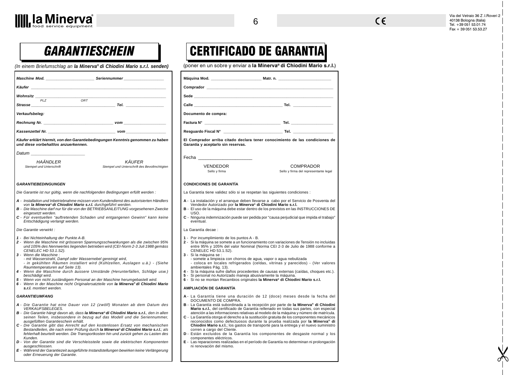CERTIFICADO DE GARANTIA



Via del Vetraio 36 Z .I.Roveri 2 40138 Bologna (Italia) Tel. +39 051 53.01.74 Fax + 39 051 53.53.27

**X** 

# **GARANTIESCHEIN**

(In einem Briefumschlag an **la Minerva® di Chiodini Mario s.r.l. senden)** (poner en un sobre y enviar a la Minerva® di Chiodini Mario s.r.l.)

| Maschine Mod. <b>Example 20 Seriennummer</b>                                                                                                                                                                                                                                                                                                                                                                                                                                                                                                                                                                                                                                                                                                                                                                                                                                                                                                                                                                                                                                                                                                                                                                                                                                             |                                                                                                                                                                                                                                                                                                                                                                                                                                                                                                                                                                                                                                                                                                                                                                                                                                                                                                                                                                                                                                                                                                                                                                                                                                       |
|------------------------------------------------------------------------------------------------------------------------------------------------------------------------------------------------------------------------------------------------------------------------------------------------------------------------------------------------------------------------------------------------------------------------------------------------------------------------------------------------------------------------------------------------------------------------------------------------------------------------------------------------------------------------------------------------------------------------------------------------------------------------------------------------------------------------------------------------------------------------------------------------------------------------------------------------------------------------------------------------------------------------------------------------------------------------------------------------------------------------------------------------------------------------------------------------------------------------------------------------------------------------------------------|---------------------------------------------------------------------------------------------------------------------------------------------------------------------------------------------------------------------------------------------------------------------------------------------------------------------------------------------------------------------------------------------------------------------------------------------------------------------------------------------------------------------------------------------------------------------------------------------------------------------------------------------------------------------------------------------------------------------------------------------------------------------------------------------------------------------------------------------------------------------------------------------------------------------------------------------------------------------------------------------------------------------------------------------------------------------------------------------------------------------------------------------------------------------------------------------------------------------------------------|
| Käufer                                                                                                                                                                                                                                                                                                                                                                                                                                                                                                                                                                                                                                                                                                                                                                                                                                                                                                                                                                                                                                                                                                                                                                                                                                                                                   | <b>Comprador Comprador Comprador</b>                                                                                                                                                                                                                                                                                                                                                                                                                                                                                                                                                                                                                                                                                                                                                                                                                                                                                                                                                                                                                                                                                                                                                                                                  |
| Wohnsitz_                                                                                                                                                                                                                                                                                                                                                                                                                                                                                                                                                                                                                                                                                                                                                                                                                                                                                                                                                                                                                                                                                                                                                                                                                                                                                | Sede and the state of the state of the state of the state of the state of the state of the state of the state of the state of the state of the state of the state of the state of the state of the state of the state of the s                                                                                                                                                                                                                                                                                                                                                                                                                                                                                                                                                                                                                                                                                                                                                                                                                                                                                                                                                                                                        |
| ORT<br><b>PLZ</b><br>$\tau$ and $\tau$ and $\tau$ and $\tau$ and $\tau$ and $\tau$ and $\tau$ and $\tau$ and $\tau$ and $\tau$ and $\tau$ and $\tau$ and $\tau$ and $\tau$ and $\tau$ and $\tau$ and $\tau$ and $\tau$ and $\tau$ and $\tau$ and $\tau$ and $\tau$ and $\tau$ and $\tau$ and $\tau$<br>Strasse                                                                                                                                                                                                                                                                                                                                                                                                                                                                                                                                                                                                                                                                                                                                                                                                                                                                                                                                                                           | Calle <b>Calle Calle Calle Calle Calle Calle Calle Calle Calle Calle Calle Calle Calle Calle Calle Calle Calle Calle Calle Calle Calle Calle Calle Calle Calle Calle Calle</b>                                                                                                                                                                                                                                                                                                                                                                                                                                                                                                                                                                                                                                                                                                                                                                                                                                                                                                                                                                                                                                                        |
| Verkaufsbeleg:                                                                                                                                                                                                                                                                                                                                                                                                                                                                                                                                                                                                                                                                                                                                                                                                                                                                                                                                                                                                                                                                                                                                                                                                                                                                           | Documento de compra:                                                                                                                                                                                                                                                                                                                                                                                                                                                                                                                                                                                                                                                                                                                                                                                                                                                                                                                                                                                                                                                                                                                                                                                                                  |
|                                                                                                                                                                                                                                                                                                                                                                                                                                                                                                                                                                                                                                                                                                                                                                                                                                                                                                                                                                                                                                                                                                                                                                                                                                                                                          |                                                                                                                                                                                                                                                                                                                                                                                                                                                                                                                                                                                                                                                                                                                                                                                                                                                                                                                                                                                                                                                                                                                                                                                                                                       |
|                                                                                                                                                                                                                                                                                                                                                                                                                                                                                                                                                                                                                                                                                                                                                                                                                                                                                                                                                                                                                                                                                                                                                                                                                                                                                          |                                                                                                                                                                                                                                                                                                                                                                                                                                                                                                                                                                                                                                                                                                                                                                                                                                                                                                                                                                                                                                                                                                                                                                                                                                       |
| Käufer erklärt hiermit, von den Garantiebedingungen Kenntnis genommen zu haben<br>und diese vorbehaltlos anzuerkennen.                                                                                                                                                                                                                                                                                                                                                                                                                                                                                                                                                                                                                                                                                                                                                                                                                                                                                                                                                                                                                                                                                                                                                                   | El Comprador arriba citado declara tener conocimiento de las condiciones de<br>Garantía y aceptarlo sin reservas.                                                                                                                                                                                                                                                                                                                                                                                                                                                                                                                                                                                                                                                                                                                                                                                                                                                                                                                                                                                                                                                                                                                     |
| Datum ___<br>HAÄNDLER<br>KÄUFER<br>Stempel und Unterschrift<br>Stempel und Unterschrift des Bevollmchtigten                                                                                                                                                                                                                                                                                                                                                                                                                                                                                                                                                                                                                                                                                                                                                                                                                                                                                                                                                                                                                                                                                                                                                                              | Fecha <b>Francisco Communist Structure</b><br><b>VENDEDOR</b><br><b>COMPRADOR</b><br>Sello y firma<br>Sello y firma del representante legal                                                                                                                                                                                                                                                                                                                                                                                                                                                                                                                                                                                                                                                                                                                                                                                                                                                                                                                                                                                                                                                                                           |
| <b>GARANTIEBEDINGUNGEN</b><br>Die Garantie ist nur gültig, wenn die nachfolgenden Bedingungen erfüllt werden :<br>A - Installation und Inbetriebnahme müssen vom Kundendienst des autorisierten Händlers<br>von la Minerva® di Chiodini Mario s.r.l. durchgeführt werden.<br>B - Die Maschine darf nur für die von der BETRIEBSANLEITUNG vorgesehenen Zwecke<br>eingesetzt werden.<br>C - Für eventuellen "auftretenden Schaden und entgangenen Gewinn" kann keine<br>Entschädigung verlangt werden.<br>Die Garantie verwirkt :<br>1 - Bei Nichteinhaltung der Punkte A-B.<br>2 - Wenn die Maschine mit grösseren Spannungsschwankungen als die zwischen 95%<br>und 105% des Nennwertes liegenden betrieben wird (CEI-Norm 2-3 Juli 1988 gemäss<br>CENELEC HD 53.1.S2).<br>3 - Wenn die Maschine :<br>- mit Wasserstrahl, Dampf oder Wassernebel gereinigt wird,<br>- in gekühlten Räumen installiert wird (Kühlzellen, Auslagen u.ä.) - (Siehe<br>Raumtemperaturen auf Seite 13).<br>4 - Wenn die Maschine durch äussere Umstände (Herunterfallen, Schläge usw.)<br>beschädigt wird.<br>5 - Wenn von nicht zuständigem Personal an der Maschine herumgebastelt wird.<br>6 - Wenn in der Maschine nicht Originalersatzteile von la Minerva® di Chiodini Mario<br>s.r.l. montiert werden. | <b>CONDICIONES DE GARANTÍA</b><br>La Garantía tiene validez sólo si se respetan las siguientes condiciones :<br>A - La instalación y el arranque deben llevarse a cabo por el Servicio de Posventa del<br>Vendedor Autorizado por la Minerva® di Chiodini Mario s.r.l.<br>B - El uso de la máquina debe estar dentro de los previstos en las INSTRUCCIONES DE<br>USO.<br>C - Ninguna indemnización puede ser pedida por "causa perjudicial que impida el trabajo"<br>eventual.<br>La Garantía decae :<br>1 - Por incumplimiento de los puntos A - B.<br>2 - Si la máquina se somete a un funcionamiento con variaciones de Tensión no incluidas<br>entre 95% y 105% del valor Nominal (Norma CEI 2-3 de Julio de 1988 conforme a<br>CENELEC HD 53.1.S2).<br>3 - Si la máquina se :<br>- somete a limpieza con chorros de aqua, vapor o aqua nebulizada<br>- coloca en locales refrigerados (celdas, vitrinas y parecidos) - (Ver valores<br>ambientales Pág. 13).<br>4 - Si la máquina sufre daños procedentes de causas externas (caídas, choques etc.).<br>5 - Si personal no Autorizado maneja abusivamente la máquina.<br>6 - Si no se montan Recambios originales la Minerva® di Chiodini Mario s.r.l.<br>AMPLIACIÓN DE GARANTÍA |
| <b>GARANTIEUMFANG</b><br>A - Die Garantie hat eine Dauer von 12 (zwölf) Monaten ab dem Datum des<br><b>VERKAUFSBELEGES.</b><br>B - Die Garantie hängt davon ab, dass la Minerva® di Chiodini Mario s.r.l., den in allen<br>seinen Teilen, insbesondere in bezug auf das Modell und die Seriennummer,<br>ausgefüllten Garantieschein erhält.<br>C - Die Garantie gibt das Anrecht auf den kostenlosen Ersatz von mechanischen<br>Bestandteilen, die nach einer Prüfung durch la Minerva® di Chiodini Mario s.r.l.; als<br>fehlerhaft beurteilt werden. Die Transportkosten hin und zurück gehen zu Lasten des<br>Kunden.<br>D - Von der Garantie sind die Verschleissteile sowie die elektrischen Komponenten<br>ausgeschlossen.<br>E - Während der Garantiezeit ausgeführte Instandstellungen bewirken keine Verlängerung<br>oder Erneuerung der Garantie.                                                                                                                                                                                                                                                                                                                                                                                                                               | A - La Garantía tiene una duración de 12 (doce) meses desde la fecha del<br>DOCUMENTO DE COMPRA.<br>B - La Garantía está subordinada a la recepción por parte de la Minerva® di Chiodini<br>Mario s.r.l., del certificado de Garantía rellenado en todas sus partes, con especial<br>atención a las informaciones relativas al modelo de la máquina y número de matrícula.<br>C - La Garantía otorga el derecho a la sustitución gratuita de los componentes mecánicos<br>reconocidos como defectuosos durante la prueba realizada por la Minerva <sup>®</sup> di<br>Chiodini Mario s.r.l.; los gastos de transporte para la entrega y el nuevo suministro<br>corren a cargo del Cliente.<br>D - Están excluidos de la Garantía los componentes de desgaste normal y los<br>componentes eléctricos.<br>E - Las reparaciones realizadas en el período de Garantía no determinan ni prolongación<br>ni renovación del mismo.                                                                                                                                                                                                                                                                                                            |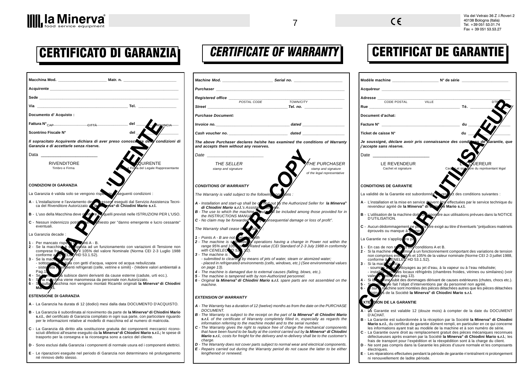Via del Vetraio 36 Z .I.Roveri 2 40138 Bologna (Italia) Tel. +39 051 53.01.74 Fax + 39 051 53.53.27

# CERTIFICATO DI GARANZIA

| Sede                                                                                                                                                                                                                                                                                   |                                                                                    |
|----------------------------------------------------------------------------------------------------------------------------------------------------------------------------------------------------------------------------------------------------------------------------------------|------------------------------------------------------------------------------------|
| Via Tel.                                                                                                                                                                                                                                                                               |                                                                                    |
| Documento d'Acquisto:                                                                                                                                                                                                                                                                  |                                                                                    |
|                                                                                                                                                                                                                                                                                        | <b>INGIA</b>                                                                       |
| Scontrino Fiscale N°                                                                                                                                                                                                                                                                   | del                                                                                |
| Il sopracitato Acquirente dichiara di aver preso conosce za del<br>Garanzia e di accettarle senza riserve.                                                                                                                                                                             | condizioni di                                                                      |
| Data <b>Data</b> and the second of the second second the second second second the second second second second second second second second second second second second second second second second second second second second secon                                                    |                                                                                    |
| <b>RIVENDITORE</b><br>Timbro e Firma                                                                                                                                                                                                                                                   | JIRENTE<br>e Firma del Legale Rappresentante                                       |
|                                                                                                                                                                                                                                                                                        |                                                                                    |
| <b>CONDIZIONI DI GARANZIA</b>                                                                                                                                                                                                                                                          |                                                                                    |
| La Garanzia è valida solo se vengono rispente                                                                                                                                                                                                                                          | Sequenti condizioni :                                                              |
| A - L'installazione e l'avviamento de <b>Alexander State de Servizio Assistenza Tecni</b> ca del Rivenditore Autorizzato de la <b>Riva<sup>®</sup> di Chiodini Mario s.r.l.</b>                                                                                                        |                                                                                    |
| B - L'uso della Macchina deve ri ntrore in                                                                                                                                                                                                                                             | Muelli previsti nelle ISTRUZIONI PER L'USO.                                        |
| C - Nessun indennizzo potrà<br>eventuali.                                                                                                                                                                                                                                              | chiesto per "danno emergente e lucro cessante"                                     |
| La Garanzia decade :                                                                                                                                                                                                                                                                   |                                                                                    |
| 1 - Per mancato rispeta computati A - B.<br>2 - Se la macchina è sa oppista ad un funzionamento con variazioni di Tensione non comprese fra il second 1958<br>ELL HD 53.1.S2).<br>conforme a<br>3 - Se la maco<br>sozziene :<br>a vizia con getti d'acqua, vapore od acqua nebulizzata |                                                                                    |
| - sottopode<br>- sister ata in ambienti refrigerati (celle, vetrine e simili) - (Vedere valori ambientali a<br>Pag.1.                                                                                                                                                                  |                                                                                    |
| la subisce danni derivanti da cause esterne (cadute, urti ecc.).<br>$4 - Se$<br>m.<br>la marchina viene manomessa da personale non Autorizzato.<br>5 - S<br>6 - S<br>sulla                                                                                                             | pacchina non vengono montati Ricambi originali la Minerva <sup>®</sup> di Chiodini |
| <b>ESTENSIONE DI GARANZIA</b>                                                                                                                                                                                                                                                          |                                                                                    |
| A - La Garanzia ha durata di 12 (dodici) mesi dalla data DOCUMENTO D'ACQUISTO.                                                                                                                                                                                                         |                                                                                    |
| B - La Garanzia è subordinata al ricevimento da parte de la Minerva <sup>®</sup> di Chiodini Mario<br>s.r.l., del certificato di Garanzia compilato in ogni sua parte, con particolare riguardo<br>per le informazioni relative al modello di macchina ed al numero di matricola.      |                                                                                    |
| C - La Garanzia dà diritto alla sostituzione gratuita dei componenti meccanici ricono-<br>sciuti difettosi all'esame eseguito da la Minerva® di Chiodini Mario s.r.l.; le spese di<br>trasporto per la consegna e la riconsegna sono a carico del cliente.                             |                                                                                    |
| D - Sono esclusi dalla Garanzia i componenti di normale usura ed i componenti elettrici.                                                                                                                                                                                               |                                                                                    |

**E** - Le riparazioni eseguite nel periodo di Garanzia non determinano nè prolungamento nè rinnovo dello stesso.

# CERTIFICATE OF WARRANTY

|                                                                                                                                                                                                                                     | Machine Mod. <b>A compare the Contract Serial no.</b> Serial no.                                                                                                                                                                            |
|-------------------------------------------------------------------------------------------------------------------------------------------------------------------------------------------------------------------------------------|---------------------------------------------------------------------------------------------------------------------------------------------------------------------------------------------------------------------------------------------|
| <b>Purchaser Exercise 2008</b>                                                                                                                                                                                                      |                                                                                                                                                                                                                                             |
| Registered office _____                                                                                                                                                                                                             |                                                                                                                                                                                                                                             |
| <i><b>Street</b></i>                                                                                                                                                                                                                | POSTAL CODE<br>TOWN/CITY                                                                                                                                                                                                                    |
| <b>Purchase Document:</b>                                                                                                                                                                                                           |                                                                                                                                                                                                                                             |
| Invoice no. ________                                                                                                                                                                                                                | dated                                                                                                                                                                                                                                       |
|                                                                                                                                                                                                                                     |                                                                                                                                                                                                                                             |
|                                                                                                                                                                                                                                     | Cash voucher no. _________________________________ dated _______________________                                                                                                                                                            |
| and accepts them without any reserves.                                                                                                                                                                                              | The above Purchaser declares he/she has examined the conditions of Warranty                                                                                                                                                                 |
| <i>Date</i> the contract of the contract of the contract of the contract of the contract of the contract of the contract of the contract of the contract of the contract of the contract of the contract of the contract of the con |                                                                                                                                                                                                                                             |
|                                                                                                                                                                                                                                     | THE PURCHASER                                                                                                                                                                                                                               |
| THE SELLER<br>stamp and signature                                                                                                                                                                                                   | stamp and signature                                                                                                                                                                                                                         |
|                                                                                                                                                                                                                                     | of the legal representative                                                                                                                                                                                                                 |
| <b>CONDITIONS OF WARRANTY</b>                                                                                                                                                                                                       |                                                                                                                                                                                                                                             |
|                                                                                                                                                                                                                                     |                                                                                                                                                                                                                                             |
| The Warranty is valid subject to the following song ons:                                                                                                                                                                            |                                                                                                                                                                                                                                             |
|                                                                                                                                                                                                                                     | A - Installation and start-up shall be a med out by the Authorized Seller for la Minerva <sup>®</sup><br>di Chiodini Mario s.r.l.'s Assistant service.<br>B - The use to which the machine work of the included among those provided for in |
|                                                                                                                                                                                                                                     |                                                                                                                                                                                                                                             |
|                                                                                                                                                                                                                                     | the INSTRUCTIONS MANUAL COMPARED TO THE INSTRUCTIONS OF FINITE C - No claim may be forwarded                                                                                                                                                |
| The Warranty shall cease to be alid                                                                                                                                                                                                 |                                                                                                                                                                                                                                             |
|                                                                                                                                                                                                                                     |                                                                                                                                                                                                                                             |
|                                                                                                                                                                                                                                     |                                                                                                                                                                                                                                             |
|                                                                                                                                                                                                                                     | 1 - Points A - B are not one wouldn't with<br>2 - The machine is sylth decay operations having a change in Power not within the<br>range 95% and 105 one of Pated value (CEI Standard of 2-3 July 1988 in conformity<br>with CENELEO 2      |
| 3 - The machine is .                                                                                                                                                                                                                |                                                                                                                                                                                                                                             |
|                                                                                                                                                                                                                                     | - submitted to cleaning by means of jets of water, steam or atomized water;                                                                                                                                                                 |
| on page 13).                                                                                                                                                                                                                        | - placed in refrigerated environments (cells, windows, etc.) (See environmental values                                                                                                                                                      |
|                                                                                                                                                                                                                                     | 4 - The machine is damaged due to external causes (falling, blows, etc.).                                                                                                                                                                   |
| 5 - The machine is tampered with by non-Authorized personnel.                                                                                                                                                                       | 6 - Original la Minerva® di Chiodini Mario s.r.l. spare parts are not assembled on the                                                                                                                                                      |
| machine.                                                                                                                                                                                                                            |                                                                                                                                                                                                                                             |
| EXTENSION OF WARRANTY                                                                                                                                                                                                               |                                                                                                                                                                                                                                             |
|                                                                                                                                                                                                                                     | A - The Warranty has a duration of 12 (twelve) months as from the date on the PURCHASE                                                                                                                                                      |
| <b>DOCUMENT.</b>                                                                                                                                                                                                                    | <b>B</b> - The Warranty is subject to the receipt on the part of la Minerva <sup>®</sup> di Chiodini Mario                                                                                                                                  |
|                                                                                                                                                                                                                                     | s.r.l. of the certificate of Warranty completely filled in, especially as regards the                                                                                                                                                       |
|                                                                                                                                                                                                                                     | information referring to the machine model and to the serial number.<br>C - The Warranty gives the right to replace free of charge the mechanical components                                                                                |
|                                                                                                                                                                                                                                     | that have been found to be faulty at the control carried out by la Minerva® di Chiodini                                                                                                                                                     |
| charge.                                                                                                                                                                                                                             | Mario s.r.l.; costs for freight for the delivery and re-delivery shall be to the customer's                                                                                                                                                 |

charge. **D** - The Warranty does not cover parts subject to normal wear and electrical components.  $E$  - Repairs carried out during the Warranty period do not cause the latte lengthened or renewed.

# CERTIFICAT DE GARANTIE

|                                                   | $\blacksquare$ Modèle machine $\blacksquare$ $\blacksquare$ $\blacksquare$ $\blacksquare$ $\blacksquare$ $\blacksquare$ $\blacksquare$ $\blacksquare$ $\blacksquare$ $\blacksquare$ $\blacksquare$ $\blacksquare$ $\blacksquare$ $\blacksquare$ $\blacksquare$ $\blacksquare$ $\blacksquare$ $\blacksquare$ $\blacksquare$ $\blacksquare$ $\blacksquare$ $\blacksquare$ $\blacksquare$ $\blacksquare$ $\blacksquare$ $\blacksquare$ $\blacksquare$ $\blacksquare$ $\blacks$ |                                     |
|---------------------------------------------------|-----------------------------------------------------------------------------------------------------------------------------------------------------------------------------------------------------------------------------------------------------------------------------------------------------------------------------------------------------------------------------------------------------------------------------------------------------------------------------|-------------------------------------|
|                                                   |                                                                                                                                                                                                                                                                                                                                                                                                                                                                             |                                     |
|                                                   | Adresse __                                                                                                                                                                                                                                                                                                                                                                                                                                                                  |                                     |
|                                                   | CODE POSTAL VILLE<br>Rue                                                                                                                                                                                                                                                                                                                                                                                                                                                    |                                     |
|                                                   | Document d'achat:                                                                                                                                                                                                                                                                                                                                                                                                                                                           |                                     |
|                                                   |                                                                                                                                                                                                                                                                                                                                                                                                                                                                             |                                     |
|                                                   | Ticket de caisse N°<br>du                                                                                                                                                                                                                                                                                                                                                                                                                                                   |                                     |
| of Warranty                                       | Je soussigné, déclare avoir pris connaissance des conditions de Garantie, que<br><i>l'accepte sans réserve.</i>                                                                                                                                                                                                                                                                                                                                                             |                                     |
|                                                   | Date _______                                                                                                                                                                                                                                                                                                                                                                                                                                                                |                                     |
| <i>'RCHASER</i><br>nd signature<br>representative | LE REVENDEUR<br>Cachet et signature<br>Cacket et sign                                                                                                                                                                                                                                                                                                                                                                                                                       | UEREUR<br>úre du représentant légal |
|                                                   | <b>CONDITIONS DE GARANTIE</b>                                                                                                                                                                                                                                                                                                                                                                                                                                               |                                     |
|                                                   | La validité de la Garantie est subordonnée de respect des conditions suivantes :                                                                                                                                                                                                                                                                                                                                                                                            |                                     |
| r <b>la Minerva®</b>                              | A - L'installation et la mise en service doivent être effectuées par le service technique du<br>revendeur agréé de la Minerva® di consument de la minerva                                                                                                                                                                                                                                                                                                                   |                                     |
| provided for in                                   | B - L'utilisation de la machine doit on espondre aux utilisations prévues dans la NOTICE<br>D'UTILISATION.                                                                                                                                                                                                                                                                                                                                                                  |                                     |
|                                                   | C - Aucun dédommagement ne pous exige au titre d'éventuels "préjudices matériels<br>éprouvés ou manque à general de la proposition de la contraste de la prouvés ou manque à general                                                                                                                                                                                                                                                                                        |                                     |
| not within the<br>3 in conformity                 | La Garantie ne s'appliquera pa                                                                                                                                                                                                                                                                                                                                                                                                                                              |                                     |
|                                                   | 1 - En cas de non report des conditions A et B.<br>2 - Si la machine et six missé à un fonctionnement comportant des variations de tension<br>non comprises entre 35% et 105% de la valeur nominale (Norme CEI 2-3 juillet 1988,<br>con                                                                                                                                                                                                                                     |                                     |
| mental values                                     | 3 - Si la mach ne est<br>- soumise à las Attoyages au jet d'eau, à la vapeur ou à l'eau nébulisée;<br>- installée l'inspées locaux réfrigérés (chambres froides, vitrines ou similaires) (voir                                                                                                                                                                                                                                                                              |                                     |
|                                                   | vale se non des pag. 13).<br>4 - Si la se nine subit des dommages dérivant de causes extérieures (chutes, chocs etc.).                                                                                                                                                                                                                                                                                                                                                      |                                     |
| embled on the                                     | sur l'aige fait l'objet d'interventions par du personnel non agrée.<br>Isual médorine sont montées des pièces détachées autres que les pièces détachées<br>Noire « de la Société la Minerva® di Chiodini Mario s.r.l.<br>5 - S<br>6 -<br>S de la Société la Minerva® di Chiodini Mario s.r.l.<br>qina                                                                                                                                                                       |                                     |
|                                                   | <b>XTE SON DE LA GARANTIE</b>                                                                                                                                                                                                                                                                                                                                                                                                                                               |                                     |
| e PURCHASE                                        | A - La Garantie est valable 12 (douze mois) à compter de la date du DOCUMENT                                                                                                                                                                                                                                                                                                                                                                                                |                                     |
| hiodini Mario<br>s regards the                    | D'ACHAT.<br>B - La Garantie est subordonnée à la réception par la Société la Minerva® di Chiodini                                                                                                                                                                                                                                                                                                                                                                           |                                     |
| l components                                      | Mario s.r.l., du certificat de garantie dûment rempli, en particulier en ce qui concerne<br>les informations ayant trait au modèle de la machine et à son numéro de série.                                                                                                                                                                                                                                                                                                  |                                     |
| a® di Chiodini<br>he customer's                   | C - La Garantie ouvre droit au remplacement gratuit des pièces mécaniques reconnues<br>défectueuses après examen par la Société la Minerva® di Chiodini Mario s.r.l.; les<br>frais de transport pour l'expédition et la réexpédition sont à la charge du client.                                                                                                                                                                                                            |                                     |
| I components.<br>er to be either                  | D - Ne sont pas compris dans la Garantie les pièces d'usure normale et les composants<br>électriques.                                                                                                                                                                                                                                                                                                                                                                       |                                     |
|                                                   | E - Les réparations effectuées pendant la période de garantie n'entraînent ni prolongement<br>ni renouvellement de ladite période.                                                                                                                                                                                                                                                                                                                                          |                                     |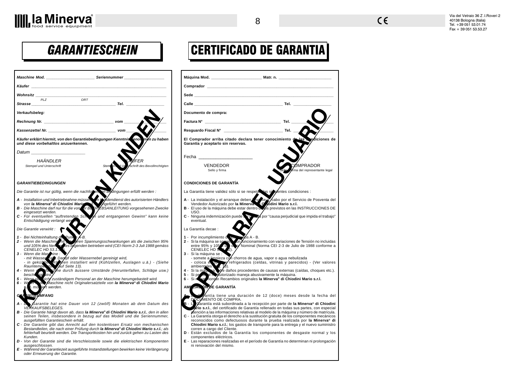| Maschine Mod. _____________________________Seriennummer_________________________                                                                                                                                                                                                                                                                |                                     | Máquina Mod. ______                                                                                                                                                                                                                                                |
|-------------------------------------------------------------------------------------------------------------------------------------------------------------------------------------------------------------------------------------------------------------------------------------------------------------------------------------------------|-------------------------------------|--------------------------------------------------------------------------------------------------------------------------------------------------------------------------------------------------------------------------------------------------------------------|
| Käufer <u>eine Staatsmaal van die Staatsmaal</u>                                                                                                                                                                                                                                                                                                | Comprador ________                  |                                                                                                                                                                                                                                                                    |
| Wohnsitz                                                                                                                                                                                                                                                                                                                                        |                                     | <b>Sede Example 20</b>                                                                                                                                                                                                                                             |
| ORT<br><b>PLZ</b><br>Strasse                                                                                                                                                                                                                                                                                                                    |                                     | <b>Calle Calle</b>                                                                                                                                                                                                                                                 |
| Verkaufsbeleg:                                                                                                                                                                                                                                                                                                                                  |                                     | Documento de compra                                                                                                                                                                                                                                                |
|                                                                                                                                                                                                                                                                                                                                                 |                                     | Factura N°                                                                                                                                                                                                                                                         |
| Kassenzettel Nr. New York New York New York New York New York New York New York New York New York New York New York New York New York New York New York New York New York New York New York New York New York New York New Yor                                                                                                                  |                                     | Resguardo Fiscal N° _                                                                                                                                                                                                                                              |
| Käufer erklärt hiermit, von den Garantiebedingungen Kenntnistenon men zu haben<br>und diese vorbehaltlos anzuerkennen.                                                                                                                                                                                                                          |                                     | El Comprador arriba<br>Garantía y aceptarlo si                                                                                                                                                                                                                     |
| Datum                                                                                                                                                                                                                                                                                                                                           |                                     |                                                                                                                                                                                                                                                                    |
| HAÄNDLER<br><b>Stempel und Unterschrift</b>                                                                                                                                                                                                                                                                                                     | schrift des Bevollmchtigten<br>Stem | Fecha ___________<br>VENDEDC<br>Sello y firma                                                                                                                                                                                                                      |
| <b>GARANTIEBEDINGUNGEN</b>                                                                                                                                                                                                                                                                                                                      |                                     | <b>CONDICIONES DE GAR</b>                                                                                                                                                                                                                                          |
| Die Garantie ist nur gültig, wenn die nachfolgen en Bydingungen erfüllt werden :                                                                                                                                                                                                                                                                |                                     | La Garantía tiene valide                                                                                                                                                                                                                                           |
| A - Installation und Inbetriebnahme müssen and Andendienst des autorisierten Händlers<br>on la Minerva® di Chiodini Marie and Angeführt werden.<br>B - Die Maschine darf nur für die von ar Bb. TRJEBSANLEITUNG vorgesehenen Zweck<br>C - Für eventuellen "auftretenden Schoop und entgangenen Gewinn" kann keine<br>Entschädigung verlangt wer |                                     | A - La instalación y el a<br>Vendedor Autorizad<br>B - El uso de la máquina<br>USO.<br>C - Ninguna indemnizad<br>eventual.                                                                                                                                         |
| Die Garantie verwirkt :                                                                                                                                                                                                                                                                                                                         |                                     | La Garantía decae :                                                                                                                                                                                                                                                |
| 1 - Bei Nichteinhaltung de Punis V-B.<br>2 - Wenn die Masching de Punis V-B.<br>2 - Wenn die Masching in Person Spannungsschwankungen als die zwischen 95%<br>und 105% des Ner.<br>2 - Menn die Maschine Wasser († 1015).<br>3 - Wenn di                                                                                                        |                                     | 1 - Por incumplimiento<br>2 - Si la máquina se sos<br>entre 95% y 105<br>CENELEC HD 55<br>3 - Si la máquina se :<br>- somete a limpieza<br>- coloca et les<br>4 - Si la máquea<br>Kuto<br>$5 - Si$ percent $h$<br>hontan Re<br>$6 - Si R$<br><b>TAG ON DE GARA</b> |
| <b>ANTIEUMFANG</b>                                                                                                                                                                                                                                                                                                                              |                                     | AME<br>antía tiene                                                                                                                                                                                                                                                 |
| Garantie hat eine Dauer von 12 (zwölf) Monaten ab dem Datum des<br><b>VERKAUFSBELEGES.</b>                                                                                                                                                                                                                                                      |                                     | DOCLAMENTO DE O<br>B - 13<br>Garantía está su                                                                                                                                                                                                                      |
| B - Die Garantie hängt davon ab, dass la Minerva® di Chiodini Mario s.r.l., den in allen<br>seinen Teilen, insbesondere in bezug auf das Modell und die Seriennummer,<br>ausgefüllten Garantieschein erhält.                                                                                                                                    |                                     | ario s.r.l., del cert<br>atención a las inform<br>C - La Garantía otorga e<br>reconocidos como                                                                                                                                                                     |
| C - Die Garantie gibt das Anrecht auf den kostenlosen Ersatz von mechanischen<br>Bestandteilen, die nach einer Prüfung durch la Minerva® di Chiodini Mario s.r.l.; als<br>fehlerhaft beurteilt werden. Die Transportkosten hin und zurück gehen zu Lasten des<br>Kunden.                                                                        |                                     | Chiodini Mario s.r.<br>corren a cargo del 0<br>D - Están excluidos d<br>componentes eléctr                                                                                                                                                                         |
| D - Von der Garantie sind die Verschleissteile sowie die elektrischen Komponenten<br>ausgeschlossen.<br>E - Während der Garantiezeit ausgeführte Instandstellungen bewirken keine Verlängerung<br>oder Erneuerung der Garantie.                                                                                                                 |                                     | E - Las reparaciones rea<br>ni renovación del m                                                                                                                                                                                                                    |

# CERTIFICADO DE GARANTIA

8 8

| Comprador _______                                                                                                                                                                                                                                                                                                                                                                                                                                                                                                                                                                                                                                                                                                                                                                                                                                                                                                                                                                                                                  |                                                                                                                                                                                                                                        |
|------------------------------------------------------------------------------------------------------------------------------------------------------------------------------------------------------------------------------------------------------------------------------------------------------------------------------------------------------------------------------------------------------------------------------------------------------------------------------------------------------------------------------------------------------------------------------------------------------------------------------------------------------------------------------------------------------------------------------------------------------------------------------------------------------------------------------------------------------------------------------------------------------------------------------------------------------------------------------------------------------------------------------------|----------------------------------------------------------------------------------------------------------------------------------------------------------------------------------------------------------------------------------------|
| Sede <b>Sede</b> to the set of the set of the set of the set of the set of the set of the set of the set of the set of the set of the set of the set of the set of the set of the set of the set of the set of the set of the set o                                                                                                                                                                                                                                                                                                                                                                                                                                                                                                                                                                                                                                                                                                                                                                                                |                                                                                                                                                                                                                                        |
| Calle                                                                                                                                                                                                                                                                                                                                                                                                                                                                                                                                                                                                                                                                                                                                                                                                                                                                                                                                                                                                                              |                                                                                                                                                                                                                                        |
| Documento de compra:                                                                                                                                                                                                                                                                                                                                                                                                                                                                                                                                                                                                                                                                                                                                                                                                                                                                                                                                                                                                               |                                                                                                                                                                                                                                        |
| Factura N°                                                                                                                                                                                                                                                                                                                                                                                                                                                                                                                                                                                                                                                                                                                                                                                                                                                                                                                                                                                                                         |                                                                                                                                                                                                                                        |
|                                                                                                                                                                                                                                                                                                                                                                                                                                                                                                                                                                                                                                                                                                                                                                                                                                                                                                                                                                                                                                    |                                                                                                                                                                                                                                        |
| El Comprador arriba citado declara tener conocimiento d<br>Garantía y aceptarlo sin reservas.                                                                                                                                                                                                                                                                                                                                                                                                                                                                                                                                                                                                                                                                                                                                                                                                                                                                                                                                      | diciones de<br>las                                                                                                                                                                                                                     |
| Fecha <b>compared to the compare</b>                                                                                                                                                                                                                                                                                                                                                                                                                                                                                                                                                                                                                                                                                                                                                                                                                                                                                                                                                                                               |                                                                                                                                                                                                                                        |
| <b>VENDEDOR</b><br>Sello y firma                                                                                                                                                                                                                                                                                                                                                                                                                                                                                                                                                                                                                                                                                                                                                                                                                                                                                                                                                                                                   | )MPRADOR<br>ma del representante legal                                                                                                                                                                                                 |
| <b>CONDICIONES DE GARANTÍA</b>                                                                                                                                                                                                                                                                                                                                                                                                                                                                                                                                                                                                                                                                                                                                                                                                                                                                                                                                                                                                     |                                                                                                                                                                                                                                        |
| La Garantía tiene validez sólo si se respeta las si ventes condiciones :                                                                                                                                                                                                                                                                                                                                                                                                                                                                                                                                                                                                                                                                                                                                                                                                                                                                                                                                                           |                                                                                                                                                                                                                                        |
| A - La instalación y el arranque deben y se excabo por el Servicio de Posventa del<br>Vendedor Autorizado por la Minerva<br>B - El uso de la máquina debe estar dentro o sos previstos en las INSTRUCCIONES DE<br>USO.<br>C - Ninguna indemnización puede son possual por "causa perjudicial que impida el trabajo"<br>eventual.<br>La Garantía decae :<br>1 - Por incumplimiento de la Costa - B.<br>2 - Si la máquina se somete cun funcionamiento con variaciones de Tensión no incluidas<br>entre 95% y 105 / or www.p Nominal (Norma CEI 2-3 de Julio de 1988 conforme a<br>CENELEC <sub>HD5</sub><br>3 - Si la máquina se :<br>- somete a limpieza con chorros de agua, vapor o agua nebulizada<br>- coloca et tous of refrigerados (celdas, vitrinas y parecidos) - (Ver valores<br>ambientales<br>4 - Si la mátrica de daños procedentes de causas externas (caídas, choques etc.).<br>5 - Si personal de Mutorizado maneja abusivamente la máquina.<br>6 - Si reserviontan Recambios originales la Minerva® di Chiodini M |                                                                                                                                                                                                                                        |
| <b>ÓN DE GARANTIA</b><br><b>CLAMENTO DE COMPRA.</b><br>atención a las informaciones relativas al modelo de la máquina y número de matrícula.<br>C - La Garantía otorga el derecho a la sustitución gratuita de los componentes mecánicos<br>reconocidos como defectuosos durante la prueba realizada por la Minerva <sup>®</sup> di<br>Chiodini Mario s.r.l.; los gastos de transporte para la entrega y el nuevo suministro<br>corren a cargo del Cliente.<br>D - Están excluidos de la Garantía los componentes de desgaste normal y los<br>componentes eléctricos.<br>E - Las reparaciones realizadas en el período de Garantía no determinan ni prolongación<br>ni renovación del mismo.                                                                                                                                                                                                                                                                                                                                       | antía tiene una duración de 12 (doce) meses desde la fecha del<br>Carantía está subordinada a la recepción por parte de la Minerva® di Chiodini<br>rio s.r.l., del certificado de Garantía rellenado en todas sus partes, con especial |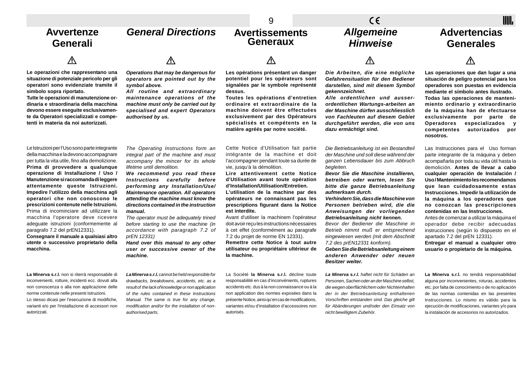|                                                                                                                                                                                                                                                                                                                                                                                                                                                                                                                                                                                                                                                                                        |                                                                                                                                                                                                                                                                                                                                                                                                                                                                                                                                                                                                                                | 9                                                                                                                                                                                                                                                                                                                                                                                                                                                                                                                                                                                                                                                                                          | $\epsilon$                                                                                                                                                                                                                                                                                                                                                                                                                                                                                                                                                                                                                                                                           | IIII.                                                                                                                                                                                                                                                                                                                                                                                                                                                                                                                                                                                                                                                                              |
|----------------------------------------------------------------------------------------------------------------------------------------------------------------------------------------------------------------------------------------------------------------------------------------------------------------------------------------------------------------------------------------------------------------------------------------------------------------------------------------------------------------------------------------------------------------------------------------------------------------------------------------------------------------------------------------|--------------------------------------------------------------------------------------------------------------------------------------------------------------------------------------------------------------------------------------------------------------------------------------------------------------------------------------------------------------------------------------------------------------------------------------------------------------------------------------------------------------------------------------------------------------------------------------------------------------------------------|--------------------------------------------------------------------------------------------------------------------------------------------------------------------------------------------------------------------------------------------------------------------------------------------------------------------------------------------------------------------------------------------------------------------------------------------------------------------------------------------------------------------------------------------------------------------------------------------------------------------------------------------------------------------------------------------|--------------------------------------------------------------------------------------------------------------------------------------------------------------------------------------------------------------------------------------------------------------------------------------------------------------------------------------------------------------------------------------------------------------------------------------------------------------------------------------------------------------------------------------------------------------------------------------------------------------------------------------------------------------------------------------|------------------------------------------------------------------------------------------------------------------------------------------------------------------------------------------------------------------------------------------------------------------------------------------------------------------------------------------------------------------------------------------------------------------------------------------------------------------------------------------------------------------------------------------------------------------------------------------------------------------------------------------------------------------------------------|
| Avvertenze<br>Generali                                                                                                                                                                                                                                                                                                                                                                                                                                                                                                                                                                                                                                                                 | <b>General Directions</b>                                                                                                                                                                                                                                                                                                                                                                                                                                                                                                                                                                                                      | <b>Avertissements</b><br><b>Generaux</b>                                                                                                                                                                                                                                                                                                                                                                                                                                                                                                                                                                                                                                                   | <b>Allgemeine</b><br><b>Hinweise</b>                                                                                                                                                                                                                                                                                                                                                                                                                                                                                                                                                                                                                                                 | <b>Advertencias</b><br><b>Generales</b>                                                                                                                                                                                                                                                                                                                                                                                                                                                                                                                                                                                                                                            |
|                                                                                                                                                                                                                                                                                                                                                                                                                                                                                                                                                                                                                                                                                        | ∕Ւ                                                                                                                                                                                                                                                                                                                                                                                                                                                                                                                                                                                                                             | Л                                                                                                                                                                                                                                                                                                                                                                                                                                                                                                                                                                                                                                                                                          | Л                                                                                                                                                                                                                                                                                                                                                                                                                                                                                                                                                                                                                                                                                    |                                                                                                                                                                                                                                                                                                                                                                                                                                                                                                                                                                                                                                                                                    |
| Le operazioni che rappresentano una<br>situazione di potenziale pericolo per gli<br>operatori sono evidenziate tramite il<br>simbolo sopra riportato.<br>Tutte le operazioni di manutenzione or-<br>dinaria e straordinaria della macchina<br>devono essere eseguite esclusivamen-<br>te da Operatori specializzati e compe-<br>tenti in materia da noi autorizzati.                                                                                                                                                                                                                                                                                                                   | Operations that may be dangerous for<br>operators are pointed out by the<br>symbol above.<br>All routine and extraordinary<br>maintenance operations of the<br>machine must only be carried out by<br>specialised and expert Operators<br>authorised by us.                                                                                                                                                                                                                                                                                                                                                                    | Les opérations présentant un danger<br>potentiel pour les opérateurs sont<br>signalées par le symbole représenté<br>dessus.<br>Toutes les opérations d'entretien<br>ordinaire et extraordinaire de la<br>machine doivent être effectuées<br>exclusivement par des Opérateurs<br>spécialisés et compétents en la<br>matière agréés par notre société.                                                                                                                                                                                                                                                                                                                                       | Die Arbeiten, die eine mögliche<br>Gefahrensituation für den Bediener<br>darstellen, sind mit diesem Symbol<br>gekennzeichnet.<br>Alle ordentlichen und ausser-<br>ordentlichen Wartungs-arbeiten an<br>der Maschine dürfen ausschliesslich<br>von Fachleuten auf diesem Gebiet<br>durchgeführt werden, die von uns<br>dazu ermächtigt sind.                                                                                                                                                                                                                                                                                                                                         | Las operaciones que dan lugar a una<br>situación de peligro potencial para los<br>operadores son puestas en evidencia<br>mediante el símbolo antes ilustrado.<br>Todas las operaciones de manteni-<br>miento ordinario y extraordinario<br>de la máquina han de efectuarse<br>exclusivamente por parte de<br>Operadores<br>especializados y<br>competentes<br>autorizados<br>por<br>nosotros.                                                                                                                                                                                                                                                                                      |
| Le Istruzioni per l'Uso sono parte integrante<br>della macchina e la devono accompagnare<br>per tutta la vita utile, fino alla demolizione.<br>Prima di provvedere a qualunque<br>operazione di Installazione / Uso /<br>Manutenzione si raccomanda di leggere<br>attentamente queste Istruzioni.<br>Impedire l'utilizzo della macchina agli<br>operatori che non conoscono le<br>prescrizioni contenute nelle Istruzioni.<br>Prima di incominciare ad utilizzare la<br>macchina l'operatore deve ricevere<br>adeguate istruzioni (conformemente al<br>paragrafo 7.2 del prEN12331).<br>Consegnare il manuale a qualsiasi altro<br>utente o successivo proprietario della<br>macchina. | The Operating Instructions form an<br>integral part of the machine and must<br>accompany the mincer for its whole<br>lifetime until demolition.<br>We recommend you read these<br>Instructions carefully<br>before<br>performing any Installation/Use/<br><b>Maintenance operation. All operators</b><br>attending the machine must know the<br>directions contained in the instruction<br>manual.<br>The operator must be adequately trined<br>before starting to use the machine (in<br>accordance with paragraph 7.2 of<br>prEN 12331)<br>Hand over this manual to any other<br>user or successive owner of the<br>machine. | Cette Notice d'Utilisation fait partie<br>intégrante de la machine et doit<br>l'accompagner pendant toute sa durée de<br>vie, jusqu'à la démolition.<br>Lire attentivement cette Notice<br>d'Utilisation avant toute opération<br>d'Installation/Utilisation/Entretien.<br>L'utilisation de la machine par des<br>opérateurs ne connaissant pas les<br>prescriptions figurant dans la Notice<br>est interdite.<br>Avant d'utiliser la machinem l'opérateur<br>doit avoir reçu les instructions nécessaires<br>à cet effet (conformément au paragrafe<br>7.2 du projet de norme EN 12331).<br>Remettre cette Notice à tout autre<br>utilisateur ou propriétaire ultérieur de<br>la machine. | Die Betriebsanleitung ist ein Bestandteil<br>der Maschine und soll diese während der<br>ganzen Lebensdauer bis zum Abbruch<br>begleiten.<br>Bevor Sie die Maschine installieren,<br>betreiben oder warten, lesen Sie<br>bitte die ganze Betriebsanleitung<br>aufmerksam durch.<br>Verhindern Sie, dass die Maschine von<br>Personen betrieben wird, die die<br>Anweisungen der vorliegenden<br>Betriebsanleitung nicht kennen.<br>Bevor der Bediener die Maschine in<br>Betrieb nimmt muß er entsprechend<br>eingewiesen werden (mit dem Abschnitt<br>7.2 des prEN12331 konform).<br>Geben Sie die Betriebsanleitung einem<br>anderen Anwender oder neuen<br><b>Besitzer weiter.</b> | Las Instrucciones para el Uso forman<br>parte integrante de la máquina y deben<br>acompañarla por toda su vida útil hasta la<br>demolición. Antes de llevar a cabo<br>cualquier operación de Instalación /<br>Uso/Mantenimiento les recomendamos<br>que lean cuidadosamente estas<br>Instrucciones. Impedir la utilización de<br>la máquina a los operadores que<br>no conozcan las prescripciones<br>contenidas en las Instrucciones.<br>Antes de comenzar a utilizar la máquina el<br>operador debe recibir adecuadas<br>instrucciones (según lo dispuesto en el<br>apartado 7.2 del prEN 12331).<br>Entregar el manual a cualquier otro<br>usuario o propietario de la máquina. |
| La Minerva s.r.l. non si riterrà responsabile di<br>inconvenienti, rotture, incidenti ecc. dovuti alla<br>non conoscenza o alla non applicazione delle<br>norme contenute nelle presenti Istruzioni.<br>Lo stesso dicasi per l'esecuzione di modifiche,<br>varianti e/o per l'installazione di accessori non<br>autorizzati.                                                                                                                                                                                                                                                                                                                                                           | La Minerva s.r.l. cannot be held responsible for<br>drawbacks, breakdowns, accidents, etc. as a<br>result of the lack of knowledge or non application<br>of the rules contained in these Instructions<br>Manual. The same is true for any change,<br>modification and/or for the installation of non-<br>authorised parts.                                                                                                                                                                                                                                                                                                     | La Société la Minerva s.r.l. décline toute<br>responsabilité en cas d'inconvénients, ruptures<br>accidents etc. dus à la non connaissance ou à la<br>non application des normes exposées dans la<br>présente Notice, ainsi qu'en cas de modifications,<br>variantes et/ou d'installation d'accessoires non<br>autorisés.                                                                                                                                                                                                                                                                                                                                                                   | La Minerva s.r.l. haftet nicht für Schäden an<br>Personen, Sachen oder an der Maschine selbst,<br>die wegen oberflächlichem oder Nichteinhalten<br>der in der Betriebsanleitung enthaltenen<br>Vorschriften entstanden sind. Das gleiche gilt<br>für Abänderungen und/oder den Einsatz von<br>nicht bewilligtem Zubehör.                                                                                                                                                                                                                                                                                                                                                             | La Minerva s.r.l. no tendrá responsabilidad<br>alguna por inconvenientes, roturas, accidentes<br>etc. por falta de conocimiento o de no aplicación<br>de las normas contenidas en las presentes<br>Instrucciones. Lo mismo es válido para la<br>ejecución de modificaciones, variantes y/o para<br>la instalación de accesorios no autorizados.                                                                                                                                                                                                                                                                                                                                    |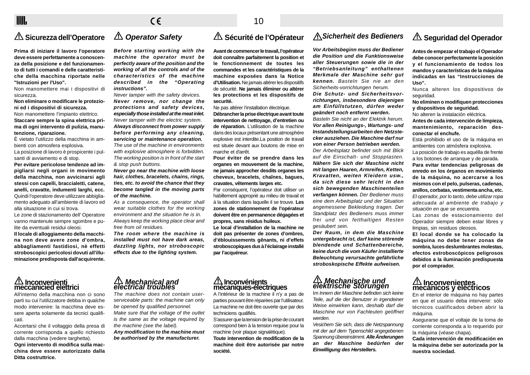## $\epsilon$

### **Sicurezza dell'Operatore**

**Prima di iniziare il lavoro l'operatore deve essere perfettamente a conoscenza della posizione e del funzionamento di tutti i comandi e delle caratteristiche della macchina riportate nelle "Istruzioni per l'Uso".**

Non manomettere mai i dispositivi di sicurezza.

**Non eliminare o modificare le protezioni ed i dispositivi di sicurezza.**

Non manomettere l'impianto elettrico. **Staccare sempre la spina elettrica prima di ogni intervento di pulizia, manutenzione, riparazione.**

È vietato l'utilizzo della macchina in ambienti con atmosfera esplosiva. La posizione di lavoro è prospicente i pul-

santi di avviamento e di stop.

**Per evitare pericolose tendenze ad impigliarsi negli organi in movimento della macchina, non avvicinarsi agli stessi con capelli, braccialetti, catene, anelli, cravatte, indumenti larghi, ecc.** Quindi l'operatore deve utilizzare abbigliamento adeguato all'ambiente di lavoro ed alla situazione in cui si trova.

Le zone di stazionamento dell' Operatore vanno mantenute sempre sgombre e pulite da eventuali residui oleosi.

**Il locale di alloggiamento della macchina non deve avere zone d'ombra, abbagliamenti fastidiosi, nè effetti stroboscopici pericolosi dovuti all'illuminazione predisposta dall'acquirente.**

## **Operator Safety**

**Before starting working with the machine the operator must be perfectly aware of the position and the working of all the controls and of the characteristics of the machine described in the "Operating instructions".**

Never tamper with the safety devices. **Never remove, nor change the protections and safety devices, especially those installed at the meat inlet.** Never tamper with the electric system. **Always disconnect from power supply before performing any cleaning, servicing or maintenance operation.** The use of the machine in environments with explosive atmosphere is forbidden. The working position is in front of the start & stop push buttons.

**Never go near the machine with loose hair, clothes, bracelets, chains, rings, ties, etc. to avoid the chance that they become tangled in the moving parts of the machine.**

As a consequence, the operator shall wear suitable clothes for the working environment and the situation he is in. Always keep the working place clear and free from oil residues.

**The room where the machine is installed must not have dark areas, dazzling lights, nor stroboscopic effects due to the lighting system.**

### **Sécurité de l'Opérateur**

**Avant de commencer le travail, l'opérateur doit connaître parfaitement la position et le fonctionnement de toutes les commandes et les caractéristiques de la machine exposées dans la Notice d'Utilisation.** Ne jamais altérer les dispositifs de sécurité. **Ne jamais éliminer ou altérer les protections et les dispositifs de securité.**

Ne pas altérer l'installation électrique. **Débrancher la prise électrique avant toute intervention de nettoyage, d'entretien ou de réparation.** L'utilisation de la machine dans des locaux présentant une atmosphère explosive est interdite.La position de travail est située devant aux boutons de mise en marche et d'arrêt.

**Pour éviter de se prendre dans les organes en mouvement de la machine, ne jamais approcher desdits organes les cheveux, bracelets, chaînes, bagues, cravates, vêtements larges etc.**

Par conséquent, l'opérateur doit utiliser un habillement approprié au milieu de travail et à la situation dans laquelle il se trouve. **Les zones de stationnement de l'opérateur doivent être en permanence dégagées et propres, sans résidus huileux.**

**Le local d'installation de la machine ne doit pas présenter de zones d'ombres, d'éblouissements gênants, ni d'effets stroboscopiques dus à l'éclairage installé par l'acquéreur.**

### **Sicherheit des Bedieners**

**Vor Arbeitsbeginn muss der Bediener die Position und die Funktionsweise aller Steuerungen sowie die in der "Betriebsanleitung" enthaltenen Merkmale der Maschine sehr gut kennen.** Basteln Sie nie an den Sicherheits-vorrichtungen herum.

**Die Schutz- und Sicherheitsvorrichtungen, insbesondere diejenigen am Einfüllstutzen, dürfen weder geändert noch entfernt werden.**

Basteln Sie nicht an der Elektrik herum. **Vor allen Reinigungs-, Wartungs- und Instandstellungsarbeiten den Netzstecker ausziehen. Die Maschine darf nur von einer Person betrieben werden.**

Der Arbeitsplatz befindet sich mit Blick auf die Einschalt- und Stopptasten. **Nähern Sie sich der Maschine nicht mit langen Haaren, Armreifen, Ketten, Kravatten, weiten Kleidern usw., da sich diese sehr leicht in den sich bewegenden Maschinenteilen verfangen können.** Der Bediener muss eine dem Arbeitsplatz und der Situation angemessene Bekleidung tragen. Der Standplatz des Bedieners muss immer frei und von fetthaltigen Resten gesäubert sein.

**Der Raum, in dem die Maschine untergebracht ist, darf keine störende blendende und Schattenbereiche, keine durch die vom Käufer installierte Beleuchtung verursachte gefährliche stroboskopische Effekte aufweisen.**

# **Mechanische und elektrische Störungen**

Im Innern der Maschine befinden sich keine Teile, auf die der Benutzer in irgendeiner Weise einwirken kann, deshalb darf die Maschine nur von Fachleuten geöffnet werden.

Vesichern Sie sich, dass die Netzspannung mit der auf dem Typenschild angegebenen Spannung übereinstimmt. **Alle Änderungen an der Maschine bedürfen der Einwilligung des Herstellers.**

### **Seguridad del Operador**

**Antes de empezar el trabajo el Operador debe conocer perfectamente la posición y el funcionamiento de todos los mandos y características de la máquina indicadas en las "Instrucciones de Uso".**

Nunca alteren los dispositivos de seguridad.

**No eliminen o modifiquen protecciones y dispositivos de seguridad.**

No alteren la instalación eléctrica.

**Antes de cada intervención de limpieza, mantenimiento, reparación desconectar el enchufe.**

Está prohibido el uso de la máquina en ambientes con atmósfera explosiva. La posición de trabajo es aquélla de frente a los botones de arranque y de parada. **Para evitar tendencias peligrosas de enredo en los órganos en movimiento de la máquina, no acercarse a los mismos con el pelo, pulseras, cadenas, anillos, corbatas, vestimenta ancha, etc.** El operador, por lo tanto, debe utilizar ropa adecuada al ambiente de trabajo y situación en que se encuentra.

Las zonas de estacionamiento del Operador siempre deben estar libres y limpias, sin residuos oleosos.

**El local donde se ha colocado la máquina no debe tener zonas de sombra, luces deslumbrantes molestas, efectos estroboscópicos peligrosos debidos a la iluminación predispuesta por el comprador.**

# **Inconvenientes mecánicos y eléctricos**

En el interior de máquina no hay partes en que el usuario deba intervenir: sólo técnicos cualificados deben abrir la máquina.

Asegurarse que el voltaje de la toma de corriente corresponda a lo requerido por la máquina (véase chapa).

**Cada intervención de modificación en la máquina debe ser autorizada por la nuestra sociedad.**

# **Inconvenienti meccanicied elettrici**

All'interno della macchina non ci sono parti su cui l'utilizzatore debba in qualche modo intervenire: la macchina deve essere aperta solamente da tecnici qualificati.

Accertarsi che il voltaggio della presa di corrente corrisponda a quello richiesto dalla macchina (vedere targhetta). **Ogni intervento di modifica sulla macchina deve essere autorizzato dalla Ditta costruttrice.**

# **Mechanical and electrical troubles**

The machine does not contain user serviceable parts: the machine can only be opened by qualified personnel. Make sure that the voltage of the outlet is the same as the voltage required by the machine (see the label). **Any modification to the machine must**

**be authorised by the manufacturer.**

 **Inconvénients mécaniques-électriques**

A l'intérieur de la machine il n'y a pas de parties pouvant être réparées par l'utilisateur. La machine ne doit être ouverte que par des techniciens qualifiés.

S'assurer que la tension de la prise de courant correspond bien à la tension requise pour la machine (voir plaque signalétique).

**Toute intervention de modification de la machine doit être autorisée par notre société.**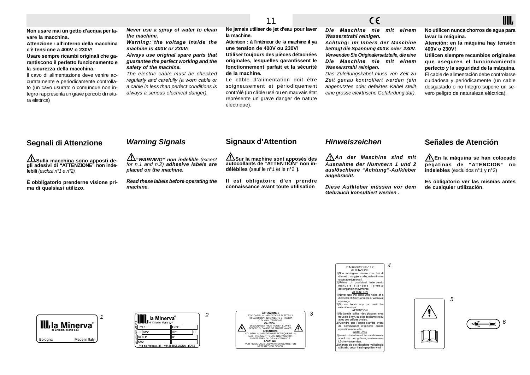## $C \in$

**No utilicen nunca chorros de agua para lavar la máquina.**

IIII.

**Atención: en la máquina hay tensión 400V o 230V!**

**Utilicen siempre recambios originales que aseguren el funcionamiento perfecto y la seguridad de la máquina.** El cable de alimentación debe controlarse cuidadosa y periódicamente (un cable desgastado o no íntegro supone un severo peligro de naturaleza eléctrica).

**Non usare mai un getto d'acqua per lavare la macchina.**

**Attenzione : all'interno della macchina c'è tensione a 400V o 230V!**

**Usare sempre ricambi originali che garantiscono il perfetto funzionamento e la sicurezza della macchina.**

Il cavo di alimentazione deve venire accuratamente e periodicamente controllato (un cavo usurato o comunque non integro rappresenta un grave pericolo di natura elettrica)

**Never use a spray of water to clean the machine. Warning: the voltage inside the**

**machine is 400V or 230V! Always use original spare parts that guarantee the perfect working and the safety of the machine.**

The electric cable must be checked regularly and carefully (a worn cable or a cable in less than perfect conditions is always a serious electrical danger).

**Ne jamais utiliser de jet d'eau pour laver la machine.**

**Attention : à l'intérieur de la machine il ya une tension de 400V ou 230V! Utiliser toujours des pièces détachées originales, lesquelles garantissent le fonctionnement parfait et la sécurité de la machine.**

Le câble d'alimentation doit être soigneusement et périodiquement contrôlé (un câble usé ou en mauvais état représente un grave danger de nature électrique).

**Die Maschine nie mit einem Wasserstrahl reinigen.**

**Achtung: Im Innern der Maschine beträgt die Spannung 400V. oder 230V. Verwenden Sie Originalersatzteile, die eine Die Maschine nie mit einem Wasserstrahl reinigen.**

Das Zuleitungskabel muss von Zeit zu Zeit genau kontrolliert werden (ein abgenutztes oder defektes Kabel stellt eine grosse elektrische Gefährdung dar).

### **Segnali di Attenzione**

**Sulla macchina sono apposti de- gli adesivi di "ATTENZIONE" non indelebili** (esclusi n°1 e n°2).

**È obbligatorio prenderne visione prima di qualsiasi utilizzo.**

### **Warning Signals**

**"WARNING" non indelible** (except for n.1 and n.2) **adhesive labels are placed on the machine.**

**Read these labels before operating the machine.**

### **Signaux d'Attention**

**Sur la machine sont apposés des autocollants de "ATTENTION" non indélébiles (**sauf le n°1 et le n°2 **).**

**Il est obligatoire d'en prendre connaissance avant toute utilisation**

### **Hinweiszeichen**

**An der Maschine sind mit Ausnahme der Nummern 1 und 2 auslöschbare "Achtung"-Aufkleber angebracht.**

**Diese Aufkleber müssen vor dem Gebrauch konsultiert werden .**

### **Señales de Atención**

**En la máquina se han colocado pegatinas de "ATENCION" no indelebles** (excluidos n°1 y n°2)

**Es obligatorio ver las mismas antes de cualquier utilización.**











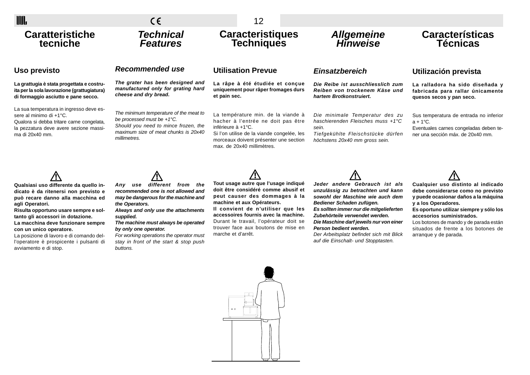| <b>IIII</b>                                                                                                                                                                  | $\epsilon$                                                                                                                                                                     | 12                                                                                                                                                                                                                   |                                                                                                                                                     |                                                                                                                                         |
|------------------------------------------------------------------------------------------------------------------------------------------------------------------------------|--------------------------------------------------------------------------------------------------------------------------------------------------------------------------------|----------------------------------------------------------------------------------------------------------------------------------------------------------------------------------------------------------------------|-----------------------------------------------------------------------------------------------------------------------------------------------------|-----------------------------------------------------------------------------------------------------------------------------------------|
| <b>Caratteristiche</b><br>tecniche                                                                                                                                           | <b>Technical</b><br><b>Features</b>                                                                                                                                            | <b>Caracteristiques</b><br><b>Techniques</b>                                                                                                                                                                         | Allgemeine<br>Hinweise                                                                                                                              | <b>Características</b><br>Técnicas                                                                                                      |
| Uso previsto                                                                                                                                                                 | Recommended use                                                                                                                                                                | <b>Utilisation Prevue</b>                                                                                                                                                                                            | Einsatzbereich                                                                                                                                      | Utilización prevista                                                                                                                    |
| La grattugia è stata progettata e costru-<br>ita per la sola lavorazione (grattugiatura)<br>di formaggio asciutto e pane secco.                                              | The grater has been designed and<br>manufactured only for grating hard<br>cheese and dry bread.                                                                                | La râpe à été étudiée et conçue<br>uniquement pour râper fromages durs<br>et pain sec.                                                                                                                               | Die Reibe ist ausschliesslich zum<br>Reiben von trockenem Käse und<br>hartem Brotkonstruiert.                                                       | La ralladora ha sido diseñada y<br>fabricada para rallar únicamente<br>quesos secos y pan seco.                                         |
| La sua temperatura in ingresso deve es-<br>sere al minimo di +1°C.<br>Qualora si debba tritare carne congelata,<br>la pezzatura deve avere sezione massi-<br>ma di 20x40 mm. | The minimum temperature of the meat to<br>be processed must be $+1^{\circ}C$ .<br>Should you need to mince frozen, the<br>maximum size of meat chunks is 20x40<br>millimetres. | La température min. de la viande à<br>hacher à l'entrée ne doit pas être<br>inférieure à +1°C.<br>Si l'on utilise de la viande congelée, les<br>morceaux doivent présenter une section<br>max. de 20x40 millimètres. | Die minimale Temperatur des zu<br>haschierenden Fleisches muss +1°C<br>sein.<br>Tiefgekühlte Fleischstücke dürfen<br>höchstens 20x40 mm gross sein. | Sus temperatura de entrada no inferior<br>$a + 1$ °C.<br>Eventuales carnes congeladas deben te-<br>ner una sección máx. de 20x40 mm.    |
| Qualsiasi uso differente da quello in-<br>dicato è da ritenersi non previsto e<br>può recare danno alla macchina ed<br>agli Operatori.                                       | different<br>the<br>from<br>Any<br>use<br>recommended one is not allowed and<br>may be dangerous for the machine and<br>the Operators.                                         | Tout usage autre que l'usage indiqué<br>doit être considéré comme abusif et<br>peut causer des dommages à la<br>machine et aux Opérateurs.                                                                           | Jeder andere Gebrauch ist als<br>unzulässig zu betrachten und kann<br>sowohl der Maschine wie auch dem<br>Bediener Schaden zufügen.                 | Cualquier uso distinto al indicado<br>debe considerarse como no previsto<br>y puede ocasionar daños a la máquina<br>y a los Operadores. |

**Risulta opportuno usare sempre e soltanto gli accessori in dotazione. La macchina deve funzionare sempre con un unico operatore.**

La posizione di lavoro e di comando dell'operatore è prospicente i pulsanti di avviamento e di stop.

**Always and only use the attachments supplied.**

**The machine must always be operated by only one operator.**

For working operations the operator must stay in front of the start & stop push buttons.

**Il convient de n'utiliser que les accessoires fournis avec la machine.** Durant le travail, l'opérateur doit se trouver face aux boutons de mise en marche et d'arrêt.

**Bediener Schaden zufügen. Es sollten immer nur die mitgelieferten Zubehörteile verwendet werden. Die Maschine darf jeweils nur von einer Person bedient werden.**

Der Arbeitsplatz befindet sich mit Blick auf die Einschalt- und Stopptasten.

**y a los Operadores. Es oportuno utilizar siempre y sólo los**

**accesorios suministrados.** Los botones de mando y de parada están situados de frente a los botones de arranque y de parada.

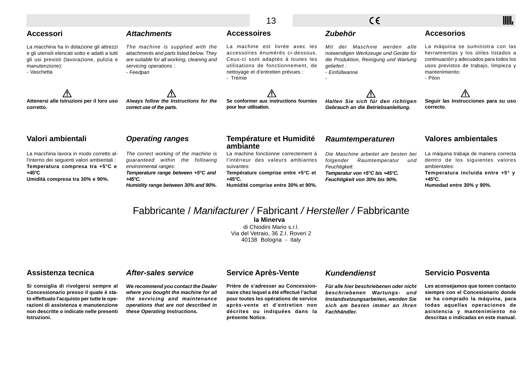|                                                                                                                                                                                |                                                                                                                                                                                                       | 13                                                                                                                                                                                              | CE                                                                                                                                                            | IIII                                                                                                                                                                                      |
|--------------------------------------------------------------------------------------------------------------------------------------------------------------------------------|-------------------------------------------------------------------------------------------------------------------------------------------------------------------------------------------------------|-------------------------------------------------------------------------------------------------------------------------------------------------------------------------------------------------|---------------------------------------------------------------------------------------------------------------------------------------------------------------|-------------------------------------------------------------------------------------------------------------------------------------------------------------------------------------------|
| <b>Accessori</b>                                                                                                                                                               | <b>Attachments</b>                                                                                                                                                                                    | <b>Accessoires</b>                                                                                                                                                                              | <b>Zubehör</b>                                                                                                                                                | <b>Accesorios</b>                                                                                                                                                                         |
| La macchina ha in dotazione gli attrezzi<br>e gli utensili elencati sotto e adatti a tutti<br>gli usi previsti (lavorazione, pulizia e<br>manutenzione):<br>- Vaschetta        | The machine is supplied with the<br>attachments and parts listed below. They<br>are suitable for all working, cleaning and<br>servicing operations:<br>- Feedpan                                      | La machine est livrée avec les<br>accessoires énumérés ci-dessous.<br>Ceux-ci sont adaptés à toutes les<br>utilisations de fonctionnement, de<br>nettoyage et d'entretien prévues :<br>- Trémie | Maschine werden alle<br>Mit der<br>notwendigen Werkzeuge und Geräte für<br>die Produktion, Reinigung und Wartung<br>qeliefert :<br>- Einfüllwanne             | La máquina se suministra con las<br>herramientas y los útiles listados a<br>continuación y adecuados para todos los<br>usos previstos de trabajo, limpieza y<br>mantenimiento:<br>- Pilon |
| Attenersi alle Istruzioni per il loro uso<br>corretto.                                                                                                                         | Always follow the Instructions for the<br>correct use of the parts.                                                                                                                                   | Se conformer aux instructions fournies<br>pour leur utilisation.                                                                                                                                | Halten Sie sich für den richtigen<br>Gebrauch an die Betriebsanleitung.                                                                                       | Seguir las Instrucciones para su uso<br>correcto.                                                                                                                                         |
| Valori ambientali                                                                                                                                                              | <b>Operating ranges</b>                                                                                                                                                                               | <b>Température et Humidité</b><br>ambiante                                                                                                                                                      | <b>Raumtemperaturen</b>                                                                                                                                       | <b>Valores ambientales</b>                                                                                                                                                                |
| La macchina lavora in modo corretto al-<br>l'interno dei seguenti valori ambientali :<br>Temperatura compresa tra +5°C e<br>$+45^{\circ}$ C<br>Umidità compresa tra 30% e 90%. | The correct working of the machine is<br>guaranteed within the<br>following<br>environmental ranges:<br>Temperature range between +5°C and<br>$+45^{\circ}C$ .<br>Humidity range between 30% and 90%. | La machine fonctionne correctement à<br>l'intérieur des valeurs ambiantes<br>suivantes:<br>Température comprise entre +5°C et<br>$+45^{\circ}$ C.<br>Humidité comprise entre 30% et 90%.        | Die Maschine arbeitet am besten bei<br>Raumtemperatur<br>folgender<br>und<br>Feuchtigkeit:<br>Temperatur von +5°C bis +45°C.<br>Feuchtigkeit von 30% bis 90%. | La máquina trabaja de manera correcta<br>dentro de los siguientes valores<br>ambientales:<br>Temperatura incluida entre +5° y<br>$+45^{\circ}$ C.<br>Humedad entre 30% y 90%.             |

## Fabbricante / Manifacturer / Fabricant / Hersteller / Fabbricante

**la Minerva**

di Chiodini Mario s.r.l. Via del Vetraio, 36 Z.I. Roveri 2 40138 Bologna - Italy

### **Assistenza tecnica**

**Si consiglia di rivolgersi sempre al Concessionario presso il quale è stato effettuato l'acquisto per tutte le operazioni di assistenza e manutenzione non descritte o indicate nelle presenti Istruzioni.**

### **After-sales service**

**We recommend you contact the Dealer where you bought the machine for all the servicing and maintenance operations that are not described in these Operating Instructions.**

#### **Service Après-Vente**

**Prière de s'adresser au Concessionnaire chez lequel a été effectué l'achat pour toutes les opérations de service après-vente et d'entretien non décrites ou indiquées dans la présente Notice.**

### **Kundendienst**

**Für alle hier beschriebenen oder nicht beschriebenen Wartungs- und Instandsetzungsarbeiten, wenden Sie sich am besten immer an Ihren Fachhändler.**

### **Servicio Posventa**

**Les aconsejamos que tomen contacto siempre con el Concesionario donde se ha comprado la máquina, para todas aquellas operaciones de asistencia y mantenimiento no descritas o indicadas en este manual.**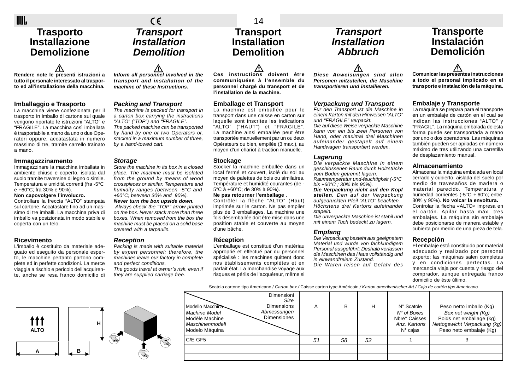### **Trasporto Installazione Demolizione**

**Rendere note le presenti istruzioni a tutto il personale interessato al trasporto ed all'installazione della macchina.**

#### **Imballaggio e Trasporto**

La macchina viene confezionata per il trasporto in imballo di cartone sul quale vengono riportate le istruzioni "ALTO" e "FRAGILE". La macchina così imballata è trasportabile a mano da uno o due Operatori oppure, accatastata in numero massimo di tre, tramite carrello trainato a mano.

#### **Immagazzinamento**

Immagazzinare la macchina imballata in ambiente chiuso e coperto, isolata dal suolo tramite traversine di legno o simile. Temperatura e umidità correnti (fra -5°C e +60°C; fra 30% e 90%).

#### **Non capovolgere l'involucro.**

Controllare la freccia "ALTO" stampata sul cartone. Accatastare fino ad un massimo di tre imballi. La macchina priva di imballo va posizionata in modo stabile e coperta con un telo.

#### **Ricevimento**

L'imballo è costituito da materiale adeguato ed eseguito da personale esperto, le macchine pertanto partono complete ed in perfette condizioni. La merce viaggia a rischio e pericolo dell'acquirente, anche se resa franco domicilio di **Inform all personnel involved in the transport and installation of the machine of these Instructions.**

**Transport Installation Demolition**

 $\epsilon$ 

#### **Packing and Transport**

The machine is packed for transport in a carton box carrying the instructions "AL TO" ("TOP") and "FRAGILE". The packed machine can be transported by hand by one or two Operators or, stacked in a maximum number of three, by a hand-towed cart.

#### **Storage**

Store the machine in its box in a closed place. The machine must be isolated from the ground by means of wood crosspieces or similar. Temperature and humidity ranges (between -5°C and +60°C; between 30% and 90%).

**Never turn the box upside down.** Always check the "TOP" arrow printed on the box. Never stack more than three boxes. When removed from the box the machine must be placed on a solid base covered with a tarpaulin.

#### **Reception**

Packing is made with suitable material by expert personnel: therefore, the machines leave our factory in complete and perfect conditions. The goods travel at owner's risk, even if they are supplied carriage free.

14 **Transport Installation Demolition**

**Ces instructions doivent être communiquées à l'ensemble du personnel chargé du transport et de l'installation de la machine.**

#### **Emballage et Transport**

transport dans une caisse en carton sur laquelle sont inscrites les indications "AL TO" ("HAUT") et "FRAGILE". La machine ainsi emballée peut être transportée manuellement par un ou deux Opérateurs ou bien, empilée (3 max.), au moyen d'un chariot à traction manuelle.

local fermé et couvert, isolé du sol au moyen de palettes de bois ou similaires. Température et humidité courantes (de -

imprimée sur le carton. Ne pas empiler plus de 3 emballages. La machine une fois désemballée doit être mise dans une position stable et couverte au moyen d'une bâche.

#### **Réception**

L'emballage est constitué d'un matériau approprié et effectué par du personnel spécialisé : les machines quittent donc nos établissements complètes et en parfait état. La marchandise voyage aux risques et périls de l'acquéreur, même si **Diese Anweisungen sind allen Personen mitzuteilen, die Maschine transportieren und installieren.**

**Transport Installation Abbruch**

#### **Verpackung und Transport**

Für den Transport ist die Maschine in einem Karton mit den Hinweisen "AL TO" und "FRAGILE" verpackt. Die auf diese Weise verpackte Maschine kann von ein bis zwei Personen von Hand, oder maximal drei Maschinen

aufeinander gestapelt auf einem Handwagen transportiert werden.

#### **Lagerung**

Die verpackte Maschine in einem geschlossenen Raum durch Holzstücke vom Boden getrennt lagern. Raumtemperatur und-feuchtigkeit (-5°C

bis  $+60^{\circ}$ C : 30% bis 90%). **Die Verpackung nicht auf den Kopf stellen.** Den auf der Verpackung aufgedruckten Pfeil "AL TO" beachten. Höchstens drei Kartons aufeinander stapeln.

Die unverpackte Maschine ist stabil und mit einem Tuch bedeckt zu lagern.

#### **Empfang**

Die Verpackung besteht aus geeignetem Material und wurde von fachkundigem Personal ausgeführt: Deshalb verlassen die Maschinen das Haus vollständig und in einwandfreiem Zustand.

Die Waren reisen auf Gefahr des

### **Transporte Instalación Demolición**

**Comunicar las presentes instrucciones a todo el personal implicado en el transporte e instalación de la máquina.**

#### **Embalaje y Transporte**

La máquina se prepara para el transporte en un embalaje de cartón en el cual se indican las instrucciones "AL TO" y "FRAGIL". La máquina embalada de esta forma puede ser transportada a mano por uno o dos operadores. Las máquinas también pueden ser apiladas en número máximo de tres utilizando una carretilla de desplazamiento manual.

#### **Almacenamiento**

Almacenar la máquina embalada en local cerrado y cubierto, aislada del suelo por medio de travesaños de madera o material parecido. Temperatura y humedad corrientes (-5°C + 60°c; entre 30% y 90%). **No volcar la envoltura.** Controlar la flecha «ALTO» impresa en el cartón. Apilar hasta máx. tres embalajes. La máquina sin embalaje debe posicionarse de manera estable y cubierta por medio de una pieza de tela.

#### **Recepción**

El embalaje está constituido por material adecuado y realizado por personal experto: las máquinas salen completas y en condiciones perfectas. La mercancía viaja por cuenta y riesgo del comprador, aunque entregada franco domicilio de éste último.

Scatola cartone tipo Americano / Carton box / Caisse carton type Américain / Karton amerikanischer Art / Cajo de cartón tipo Americano



| Modello Macchina<br>Machine Model<br>Modèle Machine<br>Maschinenmodell<br>Modelo Máquina | Dimensioni<br>Size<br>Dimensions<br>Abmessungen<br><b>Dimensiones</b> | A  | B  | н  | N° Scatole<br>$N^{\circ}$ of Boxes<br>Nbre° Caisses<br>Anz. Kartons<br>$N^{\circ}$ cajas | Peso netto imballo (Kg)<br>Box net weight (Kg)<br>Poids net emballage (kg)<br>Nettogewicht Verpackung (kg)<br>Peso neto embalaje (Kg) |
|------------------------------------------------------------------------------------------|-----------------------------------------------------------------------|----|----|----|------------------------------------------------------------------------------------------|---------------------------------------------------------------------------------------------------------------------------------------|
| C/E GF5                                                                                  |                                                                       | 51 | 58 | 52 |                                                                                          |                                                                                                                                       |
|                                                                                          |                                                                       |    |    |    |                                                                                          |                                                                                                                                       |
|                                                                                          |                                                                       |    |    |    |                                                                                          |                                                                                                                                       |

La machine est emballée pour le

#### **Stockage**

Stocker la machine emballée dans un 5°C à +60°C; de 30% à 90%).

**Ne pas retourner l'emballage** .

Contrôler la flèche "AL TO" (Haut)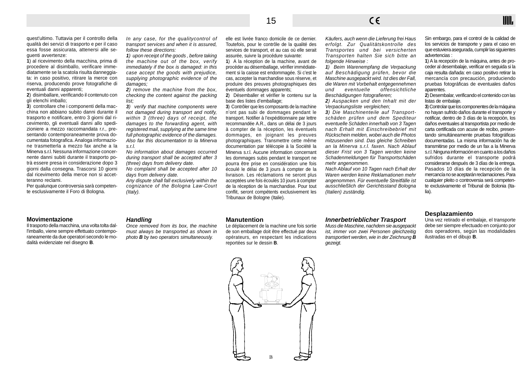quest'ultimo. Tuttavia per il controllo della qualità dei servizi di trasporto e per il caso essa fosse assicurata, attenersi alle seguenti avvertenze:

**1**) al ricevimento della macchina, prima di procedere al disimballo, verificare immediatamente se la scatola risulta danneggiata: in caso positivo, ritirare la merce con riserva, producendo prove fotografiche di eventuali danni apparenti;

**2**) disimballare, verificando il contenuto con gli elenchi imballo;

**3**) controllare che i componenti della macchina non abbiano subito danni durante il trasporto e notificare, entro 3 giorni dal ricevimento, gli eventuali danni allo spedizioniere a mezzo raccomandata r.r., presentando contemporaneamente prova documentata fotografica. Analoga informazione trasmetterla a mezzo fax anche a la Minerva s.r.l. Nessuna informazione concernente danni subiti durante il trasporto potrà essere presa in considerazione dopo 3 giorni dalla consegna. Trascorsi 10 giorni dal ricevimento della merce non si accetteranno reclami.

Per qualunque controversia sarà competente esclusivamente il Foro di Bologna.

In any case, for the qualitycontrol of transport services and when it is assured, follow these directions:

**1**) upon receipt of the goods , before taking the machine out of the box, verify immediately if the box is damaged: in this case accept the goods with prejudice, supplying photographic evidence of the damages;

**2**) remove the machine from the box, checking the content against the packing list;

**3**) verify that machine components were not damaged during transport and notify, within 3 (three) days of receipt, the damages to the forwarding agent, with registered mail, supplying at the same time full photographic evidence of the damages. Also fax this documentation to la Minerva s.r.l.

No information about damages occurred during transport shall be accepted after 3 (three) days from delivery date.

No complaint shall be accepted after 10 days from delivery date.

Any dispute shall fall exclusively within the cognizance of the Bologna Law-Court (Italy).

elle est livrée franco domicile de ce dernier. Toutefois, pour le contrôle de la qualité des services de transport, et au cas où elle serait assurée, suivre la procédure suivante:

**1**) A la réception de la machine, avant de procéder au désemballage, vérifier immédiatement si la caisse est endommagée. Si c'est le cas, accepter la marchandise sous réserve, et produire des preuves photographiques des éventuels dommages apparents;

**2**) Désemballer et vérifier le contenu sur la base des listes d'emballage;

**3**) Contrôler que les composants de la machine n'ont pas subi de dommages pendant le transport. Notifier à l'expéditionnaire par lettre recommandée A.R., dans un délai de 3 jours à compter de la réception, les éventuels dommages, en joignant les preuves photographiques. Transmettre cette même documentation par télécopie à la Société la Minerva s.r.l. Aucune information concernant les dommages subis pendant le transport ne pourra être prise en considération une fois écoulé le délai de 3 jours à compter de la livraison. Les réclamations ne seront plus acceptées une fois écoulés 10 jours à compter de la réception de la marchandise. Pour tout conflit, seront compétents exclusivement les Tribunaux de Bologne (Italie).

Käufers, auch wenn die Lieferung frei Haus erfolgt. Zur Qualitätskontrolle des Transportes und bei versicherten Transporten halten Sie sich bitte an folgende Hinweise :

**1**) Beim Warenempfang die Verpackung auf Beschädigung prüfen, bevor die Maschine ausgepackt wird. Ist dies der Fall, die Waren mit Vorbehalt entgegennehmen und eventuelle offensichtliche Beschädigungen fotografieren;

**2**) Auspacken und den Inhalt mit der Verpackungsliste vergleichen;

**3**) Die Maschinenteile auf Transportschäden prüfen und dem Spediteur eventuelle Schäden innerhalb von 3 Tagen nach Erhalt mit Einschreibebrief mit Rückschein melden, wobei auch die Photos mitzusenden sind. Das gleiche Schreiben an la Minerva s.r.l. faxen. Nach Ablauf dieser Frist von 3 Tagen werden keine Schadenmeldungen für Transportschäden mehr angenommen.

Nach Ablauf von 10 Tagen nach Erhalt der Waren werden keine Reklamationen mehr angenommen. Für eventuelle Streitfälle ist ausschließlich der Gerichtsstand Bologna (Italien) zuständig.

Sin embargo, para el control de la calidad de los servicios de transporte y para el caso en que estuviera asegurada, cumplir las siguientes advertencias :

IIII.

**1**) A la recepción de la máquina, antes de proceder al desembalaje, verificar en seguida si la caja resulta dañada: en caso positivo retirar la mercancía con precaución, produciendo pruebas fotográficas de eventuales daños aparentes.

**2**) Desembalar, verificando el contenido con las listas de embalaje.

**3**) Controlar que los componentes de la máquina no hayan sufrido daños durante el transporte y notificar, dentro de 3 días de la recepción, los daños eventuales al transportista por medio de carta certificada con acuse de recibo, presentando simultáneamente pruebas fotográficas documentadas. La misma información ha de transmitirse por medio de un fax a la Minerva s.r.l. Ninguna información en cuanto a los daños sufridos durante el transporte podrá considerarse después de 3 días de la entrega. Pasados 10 días de la recepción de la mercancía no se aceptarán reclamaciones. Para cualquier pleito o controversia será competente exclusivamente el Tribunal de Bolonia (Italia).

#### **Movimentazione**

Il trasporto della macchina, una volta tolta dall'imballo, viene sempre effettuato contemporaneamente da due operatori secondo le modalità evidenziate nel disegno **B**.

#### **Handling**

Once removed from its box, the machine must always be transported as shown in photo **B** by two operators simultaneously.

#### **Manutention**

Le déplacement de la machine une fois sortie de son emballage doit être effectué par deux opérateurs, en respectant les indications reportées sur le dessin **B**.

#### **Innerbetrieblicher Trasport**

Muss die Maschine, nachdem sie ausgepackt ist, immer von zwei Personen gleichzeitig transportiert werden, wie in der Zeichnung **B** gezeigt.

#### **Desplazamiento**

Una vez retirado el embalaje, el transporte debe ser siempre efectuado en conjunto por dos operadores, según las modalidades ilustradas en el dibujo **B**.

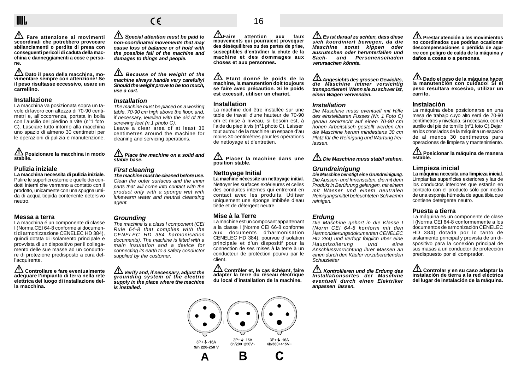### IIII.

**Fare attenzione ai movimenti scoordinati che potrebbero provocare sbilanciamenti o perdite di presa con conseguenti pericoli di caduta della macchina e danneggiamenti a cose e persone.**

 **Dato il peso della macchina, mo- vimentare sempre con attenzione! Se il peso risultasse eccessivo, usare un carrellino.**

#### **Installazione**

La macchina va posizionata sopra un tavolo di lavoro con altezza di 70-90 centimetri e, all'occorrenza, portata in bolla con l'ausilio del piedino a vite (n°1 foto C). Lasciare tutto intorno alla macchina uno spazio di almeno 30 centimetri per le operazioni di pulizia e manutenzione.

#### **Posizionare la macchina in modo stabile.**

#### **Pulizia iniziale La macchina necessita di pulizia iniziale.**

Pulire le superfici esterne e quelle dei condotti interni che verranno a contatto con il prodotto, unicamente con una spugna umida di acqua tiepida contenente detersivo neutro.

#### **Messa a terra**

La macchina é un componente di classe I (Norma CEI 64-8 conforme ai documenti di armonizzazione CENELEC HD 384), quindi dotata di isolamento principale e provvista di un dispositivo per il collegamento delle sue masse ad un conduttore di protezione predisposto a cura dell'acquirente.

 **Controllare e fare eventualmente adeguare l'impianto di terra nella rete elettrica del luogo di installazione della macchina.**

*<u>A* Special attention must be paid to</u> **non-coordinated movements that may cause loss of balance or of hold with the possible fall of the machine and damages to things and people.**

 $\epsilon$ 

**AN** Because of the weight of the **machine always handle very carefully! Should the weight prove to be too much, use a cart.**

#### **Installation**

The machine must be placed on a working table, 70-90 cm high above the floor, and, if necessary, levelled with the aid of the screwing feet (n.1 photo C). Leave a clear area of at least 30 centimetres around the machine for cleaning and servicing operations.

**A** Place the machine on a solid and **stable base.**

#### **First cleaning**

**The machine must be cleaned before use.** Clean the outer surfaces and the inner parts that will come into contact with the product only with a sponge wet with lukewarm water and neutral cleansing agent.

#### **Grounding**

The machine is a class I component (CEI Rule 64-8 that complies with the CENELEC HD 384 harmonisation documents). The machine is fitted with a main insulation and a device for connecting its earth to a safety conductor supplied by the customer.

 **Verify and, if necessary, adjust the grounding system of the electric supply in the place where the machine is installed.**

### 16

**Faire attention aux faux mouvements qui pourraient provoquer des déséquilibres ou des pertes de prise, susceptibles d'entraîner la chute de la machine et des dommages aux choses et aux personnes.**

 **Etant donné le poids de la machine, la manutention doit toujours se faire avec précaution. Si le poids est excessif, utiliser un chariot.**

#### **Installation**

La machine doit être installée sur une table de travail d'une hauteur de 70-90 cm et mise à niveau, si besoin est, à l'aide du pied à vis (n°1 photo C). Laisser tout autour de la machine un espace d'au moins 30 centimètres pour les opérations de nettoyage et d'entretien.

**1** Placer la machine dans une **position stable.**

#### **Nettoyage Initial**

**La machine nécessite un nettoyage initial.** Nettoyer les surfaces extérieures et celles des conduites internes qui entreront en contact avec les produits. Utiliser uniquement une éponge imbibée d'eau tiède et de détergent neutre.

#### **Mise à la Terre**

La machine est un composant appartenant a la classe I (Norme CEI 66-8 conforme aux documents d'harmonisation CENELEC HD 384), pourvue d'isolation principale et d'un dispositif pour la connection de ses mises à la terre à un conducteur de protéction pourvu par le client.

 **Contrôler et, le cas échéant, faire adapter la terre du réseau électrique du local d'installation de la machine.**



 **Es ist darauf zu achten, dass diese sich koordiniert bewegen, da die Maschine sonst kippen oder ausrutschen oder herunterfallen und Sach- und Personenschaden verursachen könnte.**

#### **Angesichts des grossen Gewichts, die Maschine immer vorsichtig transportieren! Wenn sie zu schwer ist, einen Wagen verwenden.**

#### **Installation**

Die Maschine muss eventuell mit Hilfe des einstellbaren Fusses (Nr. 1 Foto C) genau senkrecht auf einen 70-90 cm hohen Arbeitstisch gestellt werden.Um die Maschine herum mindestens 30 cm Platz für die Reinigung und Wartung freilassen.

 $\bigwedge$  Die Maschine muss stabil stehen.

#### **Grundreinigung Die Maschine benötigt eine Grundreinigung.**

Die Aussen- und Innenseiten, die mit dem Produkt in Berührung gelangen, mit einem mit Wasser und einem neutralen Reinigungsmittel befeuchteten Schwamm reinigen.

#### **Erdung**

Die Maschine gehört in die Klasse I (Norm CEI 64-8 konform mit den Harmonisierungsdokumenten CENELEC HD 384) und verfügt folglich über eine<br>Hauptisolierung und eine Hauptisolierung und eine Anschlussvorrichtung ihrer Massen an einen durch den Käufer vorzubereitenden **Schutzleiter** 

 **Kontrollieren und die Erdung des Installationsortes der Maschine eventuell durch einen Elektriker anpassen lassen.**

**Prestar atención a los movimientos no coordinados que podrían ocasionar descompensaciones o pérdida de agarre con peligro de caída de la máquina y daños a cosas o a personas.**

### **Dado el peso de la máquina hacer la manutención con cuidado! Si el peso resultara excesivo, utilizar un carrito.**

#### **Instalación**

La máquina debe posicionarse en una mesa de trabajo cuyo alto será de 70-90 centímetros y nivelada, si necesario, con el auxilio del pie de tornillo (n°1 foto C).Dejar en los otros lados de la máquina un espacio de al menos 30 centímetros para operaciones de limpieza y mantenimiento.

 **Posicionar la máquina de manera estable.**

#### **Limpieza inicial**

**La máquina necesita una limpieza inicial.** Limpiar las superficies exteriores y las de los conductos interiores que estarán en contacto con el producto sólo por medio de una esponja húmeda de agua tibia que contiene detergente neutro.

#### **Puesta a tierra**

La máquina es un componente de clase I (Norma CEI 64-8 conformemente a los documentos de armonización CENELEC HD 384) dotada por lo tanto de aislamiento principal y provista de un dispositivo para la conexión principal de sus masas a un conductor de protección predispuesto por el comprador.

 **Controlar y en su caso adaptar la instalación de tierra a la red eléctrica del lugar de instalación de la máquina.**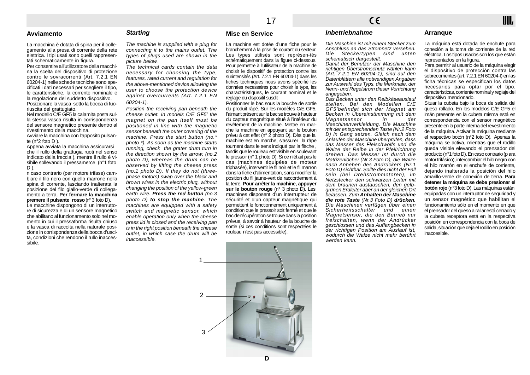#### **Avviamento**

#### **Starting**

La macchina è dotata di spina per il collegamento alla presa di corrente della rete elettrica. I tipi usati sono quelli rappresentati schematicamente in figura.

Per consentire all'utilizzatore della macchina la scelta del dispositivo di protezione contro le sovracorrenti (Art. 7.2.1 EN 60204-1) nelle schede tecniche sono specificati i dati necessari per scegliere il tipo, le caratteristiche, la corrente nominale e la regolazione del suddetto dispositivo. Posizionare la vasca sotto la bocca di fuoriuscita del grattugiato.

Nel modello C/E GF5 la calamita posta sulla stessa vasca risulta in corrispondenza del sensore magnetico presente dentro al rivestimento della macchina.

Avviare la macchina con l'apposito pulsante (n°2 foto D ).

Appena avviata la macchina assicurarsi che il rullo della grattugia ruoti nel senso indicato dalla freccia (, mentre il rullo è visibile sollevando il pressamerce (n°1 foto  $D$ ).

n caso contrario (per motore trifase) cambiare il filo nero con quello marrone nella spina di corrente, lasciando inalterata la posizione del filo giallo-verde di collegamento a terra. **Per fermare la macchina premere il pulsante rosso** (n° 3 foto D).

Le macchine dispongono di un interruttore di sicurezza e di un sensore magnetico che abilitano al funzionamento solo nel momento in cui il pressaforma risulta chiuso e la vasca di raccolta nella naturale posizione in corrispondenza della bocca d'uscita, condizioni che rendono il rullo inaccessibile.

The machine is supplied with a plug for connecting it to the mains outlet. The types of plugs used are shown in the picture below.

The technical cards contain the data necessary for choosing the type, features, rated current and regulation for the above-mentioned device allowing the user to choose the protection device against overcurrents (Art. 7.2.1 EN 60204-1).

Position the receiving pan beneath the cheese outlet. In models C/E GF5' the magnet on the pan itself must be positioned in line with the magnetic sensor beneath the outer covering of the machine. Press the start button (no.\* photo \*). As soon as the machine starts running, check the grater drum turn in the direction shown by the arrow; (no.2 photo D), whereas the drum can be observed by lifting the cheese press (no.1 photo D). If they do not (threephase motors) swap over the black and brown wires in the electric plug, without changing the position of the yellow-green earth wire. **Press the red button** (no.3 photo D) **to stop the machine**. The machines are equipped with a safety switch and magnetic sensor, which enable operation only when the cheese press lid is closed and the receiving pan is in the right position beneath the cheese outlet, in which case the drum will be inaccessible.

#### **Mise en Service**

La machine est dotée d'une fiche pour le branchement à la prise de courant du secteur. Les types utilisés sont représen-tés schématiquement dans la figure ci-dessous. Pour permettre à l'utilisateur de la machine de choisir le dispositif de protection contre les surintensités (Art. 7.2.1 EN 60204-1) dans les fiches téchniques nous avons spécifié les données necessaires pour choisir le type, les charactéristiques, le courant nominal et le reglage du dispositif susdit

Positionner le bac sous la bouche de sortie du produit râpé. Sur les modèles C/E GF5, l'aimant présent sur le bac se trouve à hauteur du capteur magnétique situé à l'intérieur du revêtement de la machine. Mettre en marche la machine en appuyant sur le bouton prévu à cet effet (n° 2 photo D). Dès que la machine est en marche, s'assurer la râpe tournent dans le sens indiqué par la flèche , tandis que le rouleau est visible en soulevant le pressoir (n° 1 photo D). Si ce n'ét ait pas le cas (machines équipées de moteur triphasée), intervertir le fil noir et le fil marron dans la fiche d'alimentation, sans modifier la position du fil jaune-vert de raccordement à la terre. **Pour arrêter la machine, appuyer sur le bouton rouge** (n° 3 photo D). Les machines disposent d'un interrupteur de sécurité et d'un capteur magnétique qui permettent le fonctionnement uniquement à condition que le pressoir soit fermé et que le bac de récupération se trouve dans la position prévue, à savoir à hauteur de la bouche de sortie (si ces conditions sont respectées le rouleau n'est pas accessible).

#### **Inbetriebnahme**

Die Maschine ist mit einem Stecker zum Anschluss an das Stromnetz versehen. Die Steckertypen sind unten schematisch dargestellt.

Damit der Benutzer der Maschine den richtigen Überstromschutz wählen kann (Art. 7.2.1 EN 60204-1), sind auf den Datenblättern alle notwendigen Angaben zur Auswahl des Typs, die Merkmale, der Nenn- und Regelstrom dieser Vorrichtung angegeben.

Das Becken unter den Reibkäseauslauf stellen. Bei den Modellen C/E GF5'befindet sich der Magnet am Becken in Übereinstimmung mit dem Magnetsensor in der Maschinenverkleidung. Die Maschine mit der entsprechenden Taste (Nr.2 Foto D) in Gang setzen. Gleich nach dem Anlaufen der Maschine überprüfen, dass das Messer des Fleischwolfs und die Walze der Reibe in der Pfeilrichtung drehen. Das Messer ist durch die Matrizenlöcher (Nr.3 Foto D), die Walze nach Anheben des Andrückers (Nr.1) Foto D) sichtbar. Sollte dies nicht der Fall sein (bei Drehstrommotoren), im Netzstecker den schwarzen Leiter mit dem braunen austauschen, den gelbgrünen Erdleiter aber an der gleichen Ort belassen. Zum **Anhalten der Maschine die rote Taste** (Nr.3 Foto D) **drücken.** Die Maschinen verfügen über einen Sicherheitsschalter und einen Magnetsensor, die den Betrieb nur freischalten, wenn der Andrücker geschlossen und das Auffangbecken in der richtigen Position am Auslauf ist, wodurch die Walze nicht mehr berührt werden kann.

#### **Arranque**

La máquina está dotada de enchufe para conexión a la toma de corriente de la red eléctrica. Los tipos usados son los que están representados en la figura.

IIII.

Para permitir al usuario de la máquina elegir el dispositivo de protección contra las sobrecorrientes (art. 7.2.1 EN 60204-I) en las ficha técnicas se especifican los datos necesarios para optar por el tipo, características, corriente nominal y reglaje del dispositivo mencionado.

Situar la cubeta bajo la boca de salida del queso rallado. En los modelos C/E GF5 el imán presente en la cubeta misma está en correspondencia con el sensor magnético presente en la parte interna del revestimiento de la máquina. Activar la máquina mediante el respectivo botón (n°2 foto D). Apenas la máquina se activa, mientras que el rodillo queda visible elevando el prensador del producto (n°1 foto D). En caso contrario (p ara motor trifásico), intercambiar el hilo negro con el hilo marrón en el enchufe de corriente, dejando inalterada la posición del hilo amarillo-verde de conexión de tierra. **Para detener la máquina se debe presionar el botón rojo** (n°3 foto D). Las máquinas están equipadas con un interruptor de seguridad y un sensor magnético que habilitan el funcionamiento sólo en el momento en que el prensador del queso a rallar está cerrado y la cubeta receptora está en la respectiva posición en correspondencia con la boca de salida, situación que deja el rodillo en posición inaccesible.

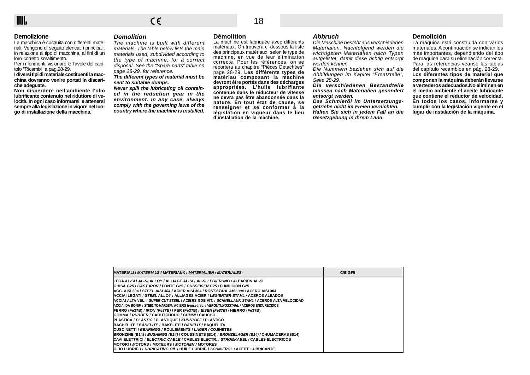**Demolizione**

La macchina è costruita con differenti materiali. Vengono di seguito elencati i principali, in relazione al tipo di macchina, ai fini di un loro corretto smaltimento.

Per i riferimenti, visionare le Tavole del capitolo "Ricambi" a pag.28-29.

**I diversi tipi di materiale costituenti la macchina dovranno venire portati in discariche adeguate.**

**Non disperdere nell'ambiente l'olio lubrificante contenuto nel riduttore di velocità. In ogni caso informarsi e attenersi sempre alla legislazione in vigore nel luogo di installazione della macchina.**

#### **Demolition**

The machine is built with different materials. The table below lists the main materials used, subdivided according to the type of machine, for a correct disposal. See the "Spare parts" table on page 28-29. for reference.

**The different types of material must be sent to suitable dumps.**

**Never spill the lubricating oil contained in the reduction gear in the environment. In any case, always comply with the governing laws of the country where the machine is installed.**

#### **Démolition**

La machine est fabriquée avec différents matériaux. On trouvera ci-dessous la liste des principaux matériaux, selon le type de machine, en vue de leur élimination correcte. Pour les références, on se reportera au chapitre "Pièces Détachées" page 28-29. **Les différents types de matériau composant la machine devront être portés dans des décharges appropriées. L'huile lubrifiante contenue dans le réducteur de vitesse ne devra pas être abandonnée dans la nature. En tout état de cause, se renseigner et se conformer à la législation en vigueur dans le lieu d'installation de la machine.**

#### **Abbruch**

Die Maschine besteht aus verschiedenen Materialien. Nachfolgend werden die wichtigsten Materialien nach Typen aufgelistet, damit diese richtig entsorgt werden können.

Die Nummern beziehen sich auf die Abbildungen im Kapitel "Ersatzteile", Seite 28-29.

**Die verschiedenen Bestandteile müssen nach Materialien gesondert entsorgt werden.**

**Das Schmieröl im Untersetzungsgetriebe nicht im Freien vernichten. Halten Sie sich in jedem Fall an die Gesetzgebung in Ihrem Land.**

#### **Demolición**

La máquina está construida con varios materiales. A continuación se indican los más importantes, dependiendo del tipo de máquina para su eliminación correcta. Para las referencias véanse las tablas del capítulo recambios en pág. 28-29. **Los diferentes tipos de material que componen la máquina deberán llevarse a vertederos adecuados.No eliminen en el medio ambiente el aceite lubricante que contiene el reductor de velocidad. En todos los casos, informarse y cumplir con la legislación vigente en el lugar de instalación de la máquina.**

| MATERIALI / <i>MATERIALS /</i> MATERIAUX / <i>MATERIALIEN / MATERIALES</i>                           | C/E GF5 |
|------------------------------------------------------------------------------------------------------|---------|
| LEGA AL-SI / <i>AL-SI ALLOY</i> / ALLIAGE AL-SI / <i>AL-SI LEGIERUNG</i> / ALEACION AL-SI /          |         |
| GHISA G25 / <i>CAST IRON</i> / FONTE G25 / <i>GUSSEISEN G25</i> / FUNDICION G25                      |         |
| ACC. AISI 304 / <i>STEEL AISI 304 /</i> ACIER AISI 304 / <i>ROST.STAHL AISI 304</i> / ACERO AISI 304 |         |
| ACCIAI LEGATI / STEEL ALLOY / ALLIAGES ACIER / LEGIERTER STAHL / ACEROS ALEADOS                      |         |
| ACCIAI ALTA VEL. / SUPER CUT STEEL / ACIERS GDE VIT. / SCHNELLAUF. STAHL / ACEROS ALTA VELOCIDAD     |         |
| ACCIAI DA BONIF. / STEEL TO HARDEN / ACIERS trem.et rec. / VERGÜTUNGSSTAHL / ACEROS ENDURECIDOS      |         |
| FERRO (Fe37B) / IRON (Fe37B) / FER (Fe37B) / EISEN (Fe37B) / HIERRO (Fe37B)                          |         |
| GOMMA / RUBBER / CAOUTCHOUC / GUMMI / CAUCHO                                                         |         |
| PLASTICA / <i>PLASTIC</i> / PLASTIQUE / <i>KUNSTOFF</i> / PLASTICO                                   |         |
| BACHELITE / BAKELITE / BAKELITE / BAKELIT / BAQUELITA                                                |         |
| CUSCINETTI / BEARINGS / ROULEMENTS / LAGER / COJINETES                                               |         |
| BRONZINE (B14) / BUSHINGS (B14) / COUSSINETS (B14) / BRONZELAGER (B14) / CHUMACERAS (B14)            |         |
| CAVI ELETTRICI / <i>ELECTRIC CABLE</i> / CABLES ELECTR. / STROMKABEL / CABLES ELECTRICOS             |         |
| MOTORI / MOTORS / MOTEURS / MOTOREN / MOTORES                                                        |         |
| DLIO LUBRIF, / LUBRICATING OIL / HUILE LUBRIF, / SCHMIERÖL / ACEITE LUBRICANTE                       |         |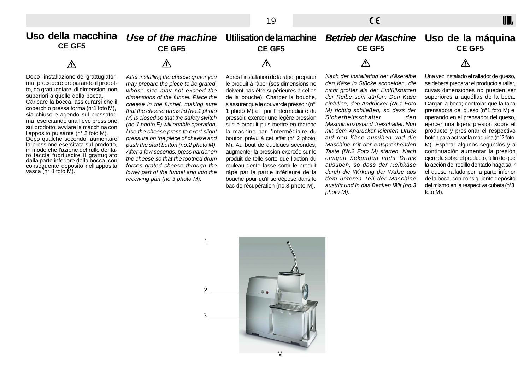IIII.

**Uso della macchina**  $\boldsymbol{U}$ se of the machine  $\,$  Utilisation de la machine  $\,$  *Betrieb der Maschine*  $\,$  Uso de la máquina **CE GF5 CE GF5 CE GF5 CE GF5 CE GF5**  $\Lambda$  $\Lambda$  $\Lambda$  $\Lambda$ Λ Nach der Installation der Käsereibe Una vez instalado el rallador de queso, Dopo l'installazione del grattugiafor-After installing the cheese grater you Après l'installation de la râpe, préparer ma, procedere preparando il prodotden Käse in Stücke schneiden, die se deberá preparar el producto a rallar, may prepare the piece to be grated, le produit à râper (ses dimensions ne to, da grattuggiare, di dimensioni non nicht größer als der Einfüllstutzen cuyas dimensiones no pueden ser whose size may not exceed the doivent pas être supérieures à celles superiori a quelle della bocca**.** dimensions of the funnel. Place the de la bouche). Charger la bouche, der Reibe sein dürfen. Den Käse superiores a aquéllas de la boca. Caricare la bocca, assicurarsi che il cheese in the funnel, making sure <sup>s</sup>'assurer que le couvercle pressoir (n° einfüllen, den Andrücker (Nr.1 Foto Cargar la boca: controlar que la tapa coperchio pressa forma (n°1 foto M), 1 photo M) et par l'intermédiaire du M) richtig schließen, so dass der prensadora del queso (n°1 foto M) e that the cheese press lid (no.1 photo sia chiuso e agendo sul pressaforoperando en el prensador del queso, Sicherheitsschalter den M) is closed so that the safety switch pressoir, exercer une légère pression ma esercitando una lieve pressione ejercer una ligera presión sobre el (no.1 photo E) will enable operation. sur le produit puis mettre en marche Maschinenzustand freischaltet. Nun sul prodotto, avviare la macchina con la machine par l'intermédiaire du mit dem Andrücker leichten Druck producto y presionar el respectivo Use the cheese press to exert slight l'apposito pulsante (n° 2 foto M). botón para activar la máquina (n°2 foto pressure on the piece of cheese and bouton prévu à cet effet (n° 2 photo auf den Käse ausüben und die Dopo qualche secondo, aumentare la pressione esercitata sul prodotto, Maschine mit der entsprechenden M). Esperar algunos segundos y a push the start button (no.2 photo M). M). Au bout de quelques secondes, in modo che l'azione del rullo denta-Taste (Nr.2 Foto M) starten. Nach continuación aumentar la presión After a few seconds, press harder on augmenter la pression exercée sur le to faccia fuoriuscire il grattugiato the cheese so that the toothed drum produit de telle sorte que l'action du einigen Sekunden mehr Druck ejercida sobre el producto, a fin de que dalla parte inferiore della bocca, con ausüben, so dass der Reibkäse la acción del rodillo dentado haga salir forces grated cheese through the rouleau denté fasse sortir le produit conseguente deposito nell'apposita vasca (n° 3 foto M). durch die Wirkung der Walze aus el queso rallado por la parte inferior lower part of the funnel and into the râpé par la partie inférieure de la dem unteren Teil der Maschine de la boca, con consiguiente depósito receiving pan (no.3 photo M). bouche pour qu'il se dépose dans le austritt und in das Becken fällt (no.3 del mismo en la respectiva cubeta (n°3 bac de récupération (no.3 photo M). photo M). foto M).

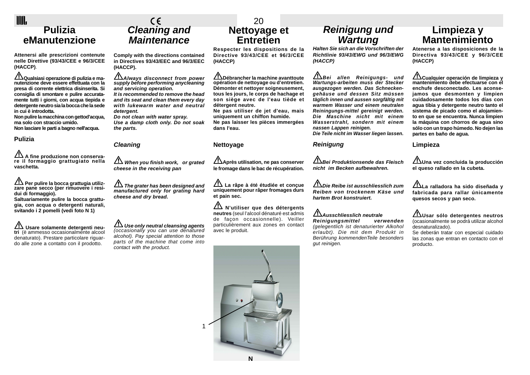### IIII. **Pulizia eManutenzione**

**Attenersi alle prescrizioni contenute nelle Direttive (93/43/CEE e 96/3/CEE (HACCP)**.

**Qualsiasi operazione di pulizia e ma- nutenzione deve essere effettuata con la presa di corrente elettrica disinserita. Si consiglia di smontare e pulire accuratamente tutti i giorni, con acqua tiepida e detergente neutro sia la bocca che la sede in cui è introdotta.**

**Non pulire la macchina con gettod'acqua, ma solo con straccio umido. Non lasciare le parti a bagno nell'acqua.**

#### **Pulizia**

 **A fine produzione non conserva- re il formaggio grattugiato nella vaschetta.**

**Per pulire la bocca grattugia utilizzare pane secco (per rimuovere i residui di formaggio).**

Saltuariamente pulire la bocca grattu**gia, con acqua o detergenti naturali, svitando i 2 pomelli (vedi foto N 1)**

**Usare solamente detergenti neu- tri** (è ammesso occasionalmente alcool denaturato). Prestare particolare riguardo alle zone a contatto con il prodotto.

# **Cleaning and Maintenance**

**Comply with the directions contained in Directives 93/43/EEC and 96/3/EEC (HACCP).**

**Always disconnect from power supply before performing anycleaning and servicing operation. It is recommended to remove the head and its seat and clean them every day with lukewarm water and neutral detergent.**

**Do not clean with water spray. Use a damp cloth only. Do not soak the parts.**

#### **Cleaning**

**11** When you finish work, or grated **cheese in the receiving pan**

*The grater has been designed and* **manufactured only for grating hard cheese and dry bread.**

 **Use only neutral cleansing agents** (occasionally you can use denatured alcohol). Pay special attention to those parts of the machine that come into contact with the product.

### 20 **Nettoyage et Entretien**

**Respecter les dispositions de la Directive 93/43/CEE et 96/3/CEE (HACCP)**

**Débrancher la machine avanttoute opération de nettoyage ou d'entretien. Démonter et nettoyer soigneusement, tous les jours, le corps de hachage et son siège avec de l'eau tiède et détergent neutre.**

**Ne pas utiliser de jet d'eau, mais uniquement un chiffon humide. Ne pas laisser les pièces immergées dans l'eau.**

#### **Nettoyage**

**Après utilisation, ne pas conserver le fromage dans le bac de récupération.**

 **La râpe à été étudiée et conçue uniquement pour râper fromages durs et pain sec.**

 **N'utiliser que des détergents neutres** (seul l'alcool dénaturé est admis de façon occasionnelle). Veiller particulièrement aux zones en contact avec le produit.



## **Reinigung und Wartung**

**Halten Sie sich an die Vorschriften der Richtlinie 93/43/EWG und 96/3/EWG (HACCP)**

**Bei allen Reinigungs- und Wartungs-arbeiten muss der Stecker ausgezogen werden. Das Schneckengehäuse und dessen Sitz müssen täglich innen und aussen sorgfältig mit warmem Wasser und einem neutralen Reiningungs-mittel gereinigt werden. Die Maschine nicht mit einem Wasserstrahl, sondern mit einem nassen Lappen reinigen. Die Teile nicht im Wasser liegen lassen.**

**Reinigung**

#### **Bei Produktionsende das Fleisch nicht im Becken aufbewahren.**

**Die Reibe ist ausschliesslich zum Reiben von trockenem Käse und hartem Brot konstruiert.**

#### **Ausschliesslich neutrale**

**Reinigungsmittel verwenden** (gelegentlich ist denaturierter Alkohol erlaubt). Die mit dem Produkt in Berührung kommendenTeile besonders gut reinigen.

### **Limpieza y Mantenimiento**

**Atenerse a las disposiciones de la Directiva 93/43/CEE y 96/3/CEE (HACCP)**

**Cualquier operación de limpieza y mantenimiento debe efectuarse con el enchufe desconectado. Les aconsejamos que desmonten y limpien cuidadosamente todos los días con agua tibia y detergente neutro tanto el sistema de picado como el alojamiento en que se encuentra. Nunca limpien la máquina con chorros de agua sino sólo con un trapo húmedo. No dejen las partes en baño de agua.**

**Limpieza**

**Una vez concluida la producción el queso rallado en la cubeta.**

**La ralladora ha sido diseñada y fabricada para rallar únicamente quesos secos y pan seco.**

**Usar sólo detergentes neutros** (ocasionalmente se podrá utilizar alcohol desnaturalizado).

Se deberán tratar con especial cuidado las zonas que entran en contacto con el producto.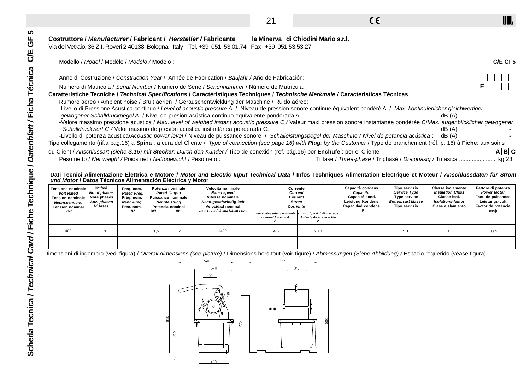21

 $C \in$ 

### **Costruttore / Manufacturer / Fabricant / Hersteller / Fabricante la Minerva di Chiodini Mario s.r.l.**

|                                                                                                                                                                                  | Modello / Model / Modèle / Modelo / Modelo :                      |                                                                                  |     |                                                                                                                |                                                                                                                                                                                                                                                                                                                                                            |                                                                                                   |                           |                                                                                                   |                                                                                                           |                                                                                                                      |                                                                                  | C/E GF5                       |
|----------------------------------------------------------------------------------------------------------------------------------------------------------------------------------|-------------------------------------------------------------------|----------------------------------------------------------------------------------|-----|----------------------------------------------------------------------------------------------------------------|------------------------------------------------------------------------------------------------------------------------------------------------------------------------------------------------------------------------------------------------------------------------------------------------------------------------------------------------------------|---------------------------------------------------------------------------------------------------|---------------------------|---------------------------------------------------------------------------------------------------|-----------------------------------------------------------------------------------------------------------|----------------------------------------------------------------------------------------------------------------------|----------------------------------------------------------------------------------|-------------------------------|
|                                                                                                                                                                                  |                                                                   |                                                                                  |     |                                                                                                                |                                                                                                                                                                                                                                                                                                                                                            |                                                                                                   |                           |                                                                                                   |                                                                                                           |                                                                                                                      |                                                                                  |                               |
|                                                                                                                                                                                  |                                                                   |                                                                                  |     |                                                                                                                | Anno di Costruzione / Construction Year / Année de Fabrication / Baujahr / Año de Fabricación:                                                                                                                                                                                                                                                             |                                                                                                   |                           |                                                                                                   |                                                                                                           |                                                                                                                      |                                                                                  |                               |
|                                                                                                                                                                                  |                                                                   |                                                                                  |     |                                                                                                                | Numero di Matricola / Serial Number / Numéro de Série / Seriennummer / Número de Matrícula:                                                                                                                                                                                                                                                                |                                                                                                   |                           |                                                                                                   |                                                                                                           |                                                                                                                      | Е                                                                                |                               |
|                                                                                                                                                                                  |                                                                   |                                                                                  |     |                                                                                                                | Caratteristiche Tecniche / Technical Specifications / Caractéristiques Techniques / Technische Merkmale / Características Técnicas                                                                                                                                                                                                                         |                                                                                                   |                           |                                                                                                   |                                                                                                           |                                                                                                                      |                                                                                  |                               |
|                                                                                                                                                                                  |                                                                   |                                                                                  |     |                                                                                                                | gewogener Schalldruckpegel A / Nivel de presión acústica continuo equivalente ponderada A:<br>-Valore massimo pressione acustica / Max. level of weighed instant acoustic pressure C / Valeur maxi pression sonore instantanée pondérée C/Max. augenblicklicher gewogener<br>Schalldruckwert C / Valor máximo de presión acústica instantánea ponderada C: |                                                                                                   |                           |                                                                                                   |                                                                                                           | dB(A)<br>dB(A)                                                                                                       |                                                                                  |                               |
|                                                                                                                                                                                  |                                                                   |                                                                                  |     |                                                                                                                | -Livello di potenza acustica/Acoustic power level / Niveau de puissance sonore / Schalleistungspegel der Maschine / Nivel de potencia acústica :                                                                                                                                                                                                           |                                                                                                   |                           |                                                                                                   |                                                                                                           | dB (A)                                                                                                               |                                                                                  |                               |
|                                                                                                                                                                                  |                                                                   |                                                                                  |     |                                                                                                                | Tipo collegamento (rif.a pag.16) a Spina : a cura del Cliente / Type of connection (see page 16) with Plug: by the Customer / Type de branchement (réf. p. 16) à Fiche: aux soins                                                                                                                                                                          |                                                                                                   |                           |                                                                                                   |                                                                                                           |                                                                                                                      |                                                                                  |                               |
|                                                                                                                                                                                  |                                                                   |                                                                                  |     |                                                                                                                | du Client / Anschlussart (siehe S.16) mit Stecker: Durch den Kunder / Tipo de conexión (ref. pág.16) por Enchufe : por el Cliente                                                                                                                                                                                                                          |                                                                                                   |                           |                                                                                                   |                                                                                                           |                                                                                                                      |                                                                                  | A B C                         |
|                                                                                                                                                                                  |                                                                   |                                                                                  |     |                                                                                                                | Peso netto / Net weight / Poids net / Nettogewicht / Peso neto :                                                                                                                                                                                                                                                                                           |                                                                                                   |                           | Trifase / Three-phase / Triphasé / Dreiphasig / Trifasica                                         |                                                                                                           |                                                                                                                      |                                                                                  |                               |
|                                                                                                                                                                                  |                                                                   |                                                                                  |     |                                                                                                                |                                                                                                                                                                                                                                                                                                                                                            |                                                                                                   |                           |                                                                                                   |                                                                                                           |                                                                                                                      |                                                                                  |                               |
|                                                                                                                                                                                  |                                                                   |                                                                                  |     |                                                                                                                | Dati Tecnici Alimentazione Elettrica e Motore / Motor and Electric Input Technical Data / Infos Techniques Alimentation Electrique et Moteur / Anschlussdaten für Strom                                                                                                                                                                                    |                                                                                                   |                           |                                                                                                   |                                                                                                           |                                                                                                                      |                                                                                  |                               |
| und Motor / Datos Técnicos Alimentación Eléctrica y Motor<br><b>Tensione nominale</b><br><b>Volt Rated</b><br><b>Tension nominale</b><br>Nennspannung<br>Tensión nominal<br>volt | N° fasi<br>No of phases<br>Nbre phases<br>Anz. phasen<br>N° fases | Freq. nom.<br><b>Rated Freg.</b><br>Fréq. nom.<br>Nenn-Frea.<br>Frec. nom.<br>HZ | kW  | Potenza nominale<br><b>Rated Output</b><br><b>Puissance nominale</b><br>Nennleistung<br>Potencia nominal<br>НP | Velocità nominale<br><b>Rated speed</b><br>Vitesse nominale<br>Nenn-geschwindig-keit<br>Velocidad nominal<br>$q/mn / rpm / t/min.$ / U/min / rpm                                                                                                                                                                                                           | Corrente<br><b>Current</b><br>Courant<br><b>Strom</b><br>Corriente<br>nominale / rated / nominale | spunto / peak / démarrage | Capacità condens.<br>Capacitor<br>Capacité cond.<br>Leistung Kondens.<br>Capacidad condens.<br>uЕ | Tipo servizio<br><b>Service Type</b><br><b>Type service</b><br><b>Betriebsart klasse</b><br>Tipo servizio | <b>Classe isolamento</b><br><b>Insulation Class</b><br>Classe isol.<br><b>Isolations-faktor</b><br>Clase aislamiento | Fattore di potenza<br>Fact. de puissance<br>Leistungs-volt<br>Factor de potencia | kg 23<br>Power factor<br>coso |
|                                                                                                                                                                                  |                                                                   |                                                                                  |     |                                                                                                                |                                                                                                                                                                                                                                                                                                                                                            | nominal / nominal                                                                                 | Anlauf / de aceleración   |                                                                                                   |                                                                                                           |                                                                                                                      |                                                                                  |                               |
| 400                                                                                                                                                                              | 3                                                                 | 50                                                                               | 1,5 | $\overline{2}$                                                                                                 | 1420                                                                                                                                                                                                                                                                                                                                                       | 4,5                                                                                               | 20,3                      |                                                                                                   | S <sub>1</sub>                                                                                            | E                                                                                                                    |                                                                                  | 0,69                          |
|                                                                                                                                                                                  |                                                                   |                                                                                  |     |                                                                                                                |                                                                                                                                                                                                                                                                                                                                                            |                                                                                                   |                           |                                                                                                   |                                                                                                           |                                                                                                                      |                                                                                  |                               |
|                                                                                                                                                                                  |                                                                   |                                                                                  |     |                                                                                                                |                                                                                                                                                                                                                                                                                                                                                            |                                                                                                   |                           |                                                                                                   |                                                                                                           |                                                                                                                      |                                                                                  |                               |
|                                                                                                                                                                                  |                                                                   |                                                                                  |     |                                                                                                                | Dimensioni di ingombro (vedi figura) / Overall dimensions (see picture) / Dimensions hors-tout (voir figure) / Abmessungen (Siehe Abbildung) / Espacio requerido (véase figura)                                                                                                                                                                            |                                                                                                   |                           |                                                                                                   |                                                                                                           |                                                                                                                      |                                                                                  |                               |



IIIII.

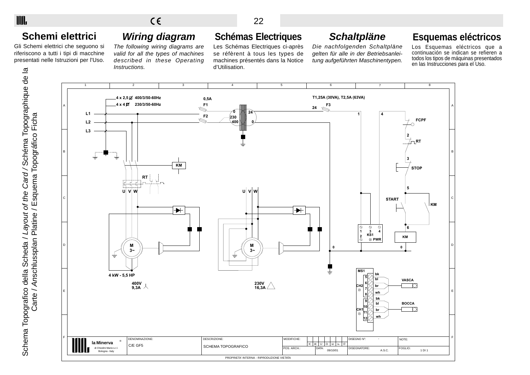## **Schemi elettrici**

IIII.

Gli Schemi elettrici che seguono si riferiscono a tutti i tipi di macchine presentati nelle Istruzioni per l'Uso.

# **Wiring diagram**

The following wiring diagrams are valid for all the types of machines described in these Operating Instructions.

## **Schémas Electriques**

Les Schémas Electriques ci-après se réfèrent à tous les types de machines présentés dans la Notice d'Utilisation.

## **Schaltpläne**

Die nachfolgenden Schaltpläne gelten für alle in der Betriebsanleitung aufgeführten Maschinentypen.

## **Esquemas eléctricos**

Los Esquemas eléctricos que a continuación se indican se refieren a todos los tipos de máquinas presentados en las Instrucciones para el Uso.

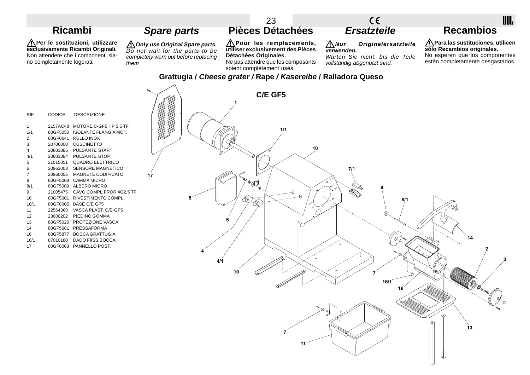#### 23  $C \in$ **Pièces Détachées Ersatzteile Recambios Ricambi Spare parts**

**Per le sostituzioni, utilizzare esclusivamente Ricambi Originali.** Non attendere che i componenti siano completamente logorati.

**Only use Original Spare parts.** Do not wait for the parts to be completely worn out before replacing them

 $\sim$ 

**Pour les remplacements, utiliser exclusivement des Pièces Détachées Originales.**

Ne pas attendre que les composants soient complètement usés.

**Nur Originalersatzteile verwenden.**

Warten Sie nicht, bis die Teile vollständig abgenutzt sind.

IIII.

**Para las sustituciones, utilicen sólo Recambios originales.** No esperen que los componentes estén completamente desgastados.

### **Grattugia / Cheese grater / Rape / Kasereibe / Ralladora Queso**

| RIF. | <b>CODICE</b> | <b>DESCRIZIONE</b>                |    |  |
|------|---------------|-----------------------------------|----|--|
| 1    |               | 2157AC48 MOTORE C-GF5 HP 5.5 TF   |    |  |
| 1/1  |               | 80GF5050 ISOLANTE FLANGIA MOT.    |    |  |
| 2    |               | 80GF0641 RULLO INOX               |    |  |
| 3    |               | 20706000 CUSCINETTO               |    |  |
| 4    |               | 20803385 PULSANTE START           |    |  |
| 4/1  |               | 20803384 PULSANTE STOP            |    |  |
| 5    |               | 21015051 QUADRO ELETTRICO         |    |  |
| 6    |               | 20963008 SENSORE MAGNETICO        |    |  |
| 7    |               | 20960055 MAGNETE CODIFICATO       | 17 |  |
| 8    |               | 80GF5008 CAMMA MICRO              |    |  |
| 8/1  |               | 80GF5009 ALBERO MICRO             |    |  |
| 9    |               | 21005475 CAVO COMPL.FROR 4G2,5 TF |    |  |
| 10   |               | 80GF5001 RIVESTIMENTO COMPL.      |    |  |
| 10/1 |               | 80GF0005 BASE C/E GF5             |    |  |
| 11   |               | 22564368 VASCA PLAST. C/E-GF5     |    |  |
| 12   |               | 23000202 PIEDINO GOMMA            |    |  |
| 13   |               | 80GF5020 PROTEZIONE VASCA         |    |  |
| 14   |               | 80GF5681 PRESSAFORMA              |    |  |
| 16   |               | 80GF5877 BOCCA GRATTUGIA          |    |  |
| 16/1 |               | 87010180 DADO FIISS.BOCCA.        |    |  |
| 17   |               | 80GF0003 PANNELLO POST.           |    |  |
|      |               |                                   |    |  |
|      |               |                                   |    |  |
|      |               |                                   |    |  |
|      |               |                                   |    |  |
|      |               |                                   |    |  |